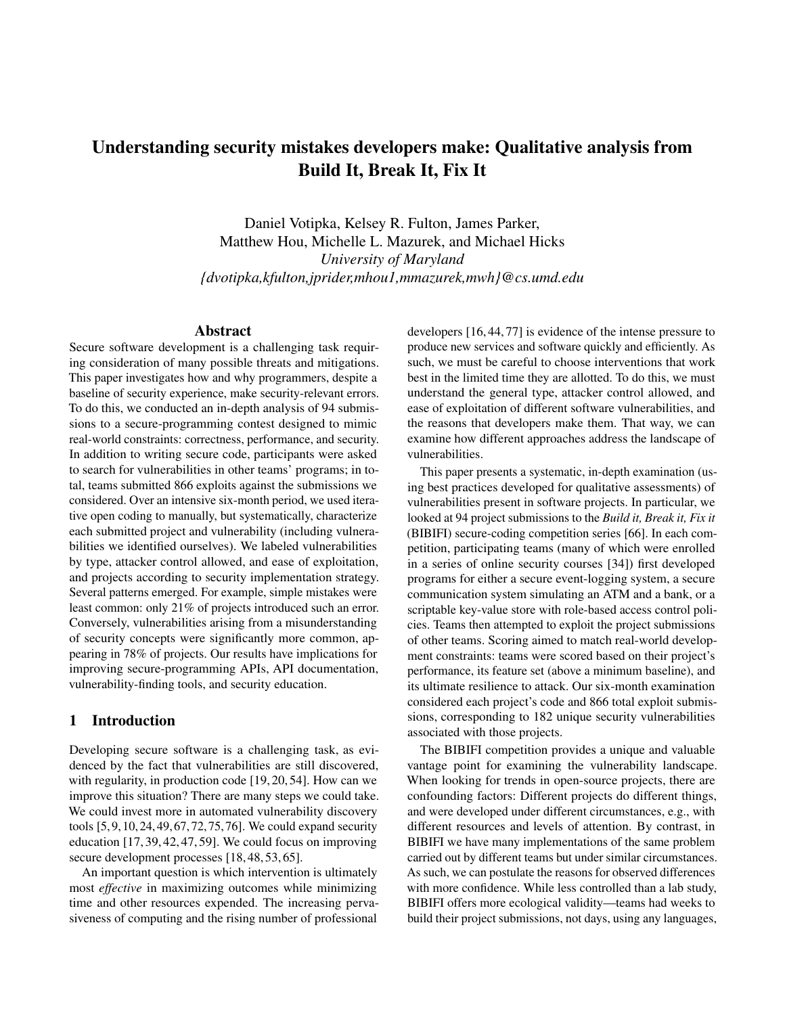# Understanding security mistakes developers make: Qualitative analysis from Build It, Break It, Fix It

Daniel Votipka, Kelsey R. Fulton, James Parker, Matthew Hou, Michelle L. Mazurek, and Michael Hicks *University of Maryland {dvotipka,kfulton,jprider,mhou1,mmazurek,mwh}@cs.umd.edu*

### Abstract

Secure software development is a challenging task requiring consideration of many possible threats and mitigations. This paper investigates how and why programmers, despite a baseline of security experience, make security-relevant errors. To do this, we conducted an in-depth analysis of 94 submissions to a secure-programming contest designed to mimic real-world constraints: correctness, performance, and security. In addition to writing secure code, participants were asked to search for vulnerabilities in other teams' programs; in total, teams submitted 866 exploits against the submissions we considered. Over an intensive six-month period, we used iterative open coding to manually, but systematically, characterize each submitted project and vulnerability (including vulnerabilities we identified ourselves). We labeled vulnerabilities by type, attacker control allowed, and ease of exploitation, and projects according to security implementation strategy. Several patterns emerged. For example, simple mistakes were least common: only 21% of projects introduced such an error. Conversely, vulnerabilities arising from a misunderstanding of security concepts were significantly more common, appearing in 78% of projects. Our results have implications for improving secure-programming APIs, API documentation, vulnerability-finding tools, and security education.

### 1 Introduction

Developing secure software is a challenging task, as evidenced by the fact that vulnerabilities are still discovered, with regularity, in production code [\[19,](#page-13-0) [20,](#page-13-1) [54\]](#page-14-0). How can we improve this situation? There are many steps we could take. We could invest more in automated vulnerability discovery tools [\[5,](#page-13-2)[9,](#page-13-3)[10,](#page-13-4)[24,](#page-13-5)[49,](#page-14-1)[67,](#page-15-0)[72,](#page-15-1)[75,](#page-15-2)[76\]](#page-15-3). We could expand security education [\[17,](#page-13-6) [39,](#page-14-2) [42,](#page-14-3) [47,](#page-14-4) [59\]](#page-15-4). We could focus on improving secure development processes [\[18,](#page-13-7) [48,](#page-14-5) [53,](#page-14-6) [65\]](#page-15-5).

An important question is which intervention is ultimately most *effective* in maximizing outcomes while minimizing time and other resources expended. The increasing pervasiveness of computing and the rising number of professional

developers [\[16,](#page-13-8) [44,](#page-14-7) [77\]](#page-15-6) is evidence of the intense pressure to produce new services and software quickly and efficiently. As such, we must be careful to choose interventions that work best in the limited time they are allotted. To do this, we must understand the general type, attacker control allowed, and ease of exploitation of different software vulnerabilities, and the reasons that developers make them. That way, we can examine how different approaches address the landscape of vulnerabilities.

This paper presents a systematic, in-depth examination (using best practices developed for qualitative assessments) of vulnerabilities present in software projects. In particular, we looked at 94 project submissions to the *Build it, Break it, Fix it* (BIBIFI) secure-coding competition series [\[66\]](#page-15-7). In each competition, participating teams (many of which were enrolled in a series of online security courses [\[34\]](#page-14-8)) first developed programs for either a secure event-logging system, a secure communication system simulating an ATM and a bank, or a scriptable key-value store with role-based access control policies. Teams then attempted to exploit the project submissions of other teams. Scoring aimed to match real-world development constraints: teams were scored based on their project's performance, its feature set (above a minimum baseline), and its ultimate resilience to attack. Our six-month examination considered each project's code and 866 total exploit submissions, corresponding to 182 unique security vulnerabilities associated with those projects.

The BIBIFI competition provides a unique and valuable vantage point for examining the vulnerability landscape. When looking for trends in open-source projects, there are confounding factors: Different projects do different things, and were developed under different circumstances, e.g., with different resources and levels of attention. By contrast, in BIBIFI we have many implementations of the same problem carried out by different teams but under similar circumstances. As such, we can postulate the reasons for observed differences with more confidence. While less controlled than a lab study, BIBIFI offers more ecological validity—teams had weeks to build their project submissions, not days, using any languages,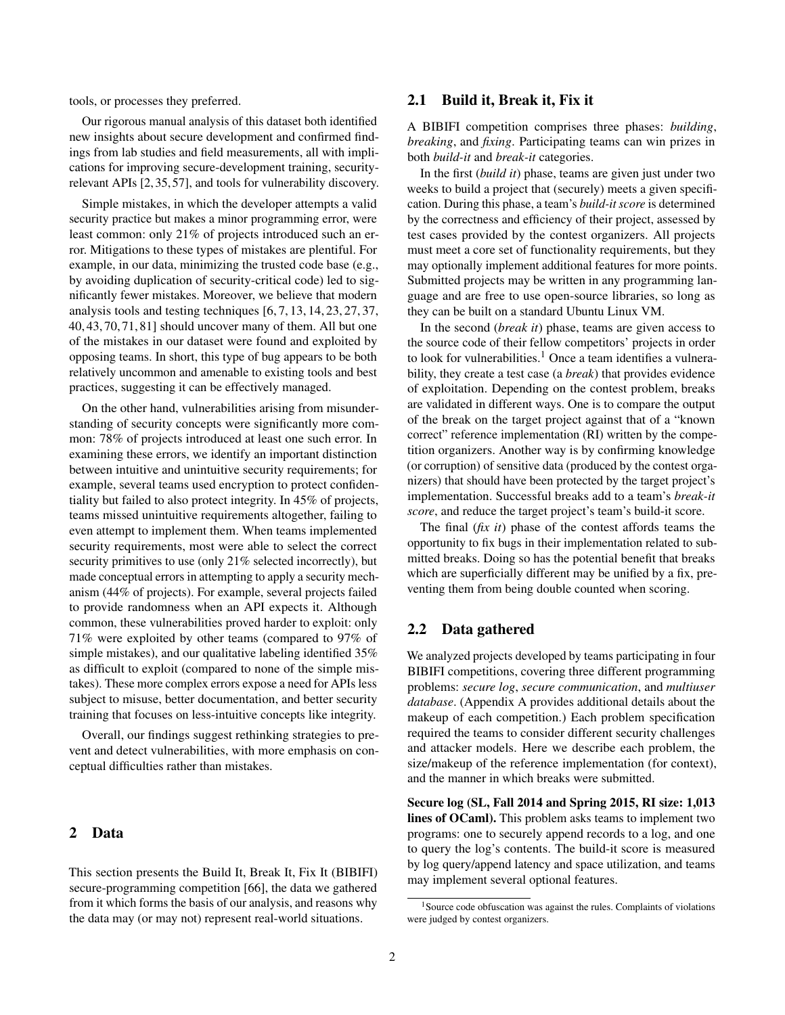tools, or processes they preferred.

Our rigorous manual analysis of this dataset both identified new insights about secure development and confirmed findings from lab studies and field measurements, all with implications for improving secure-development training, securityrelevant APIs [\[2,](#page-13-9)[35,](#page-14-9)[57\]](#page-14-10), and tools for vulnerability discovery.

Simple mistakes, in which the developer attempts a valid security practice but makes a minor programming error, were least common: only 21% of projects introduced such an error. Mitigations to these types of mistakes are plentiful. For example, in our data, minimizing the trusted code base (e.g., by avoiding duplication of security-critical code) led to significantly fewer mistakes. Moreover, we believe that modern analysis tools and testing techniques [\[6,](#page-13-10) [7,](#page-13-11) [13,](#page-13-12) [14,](#page-13-13) [23,](#page-13-14) [27,](#page-14-11) [37,](#page-14-12) [40,](#page-14-13) [43,](#page-14-14) [70,](#page-15-8) [71,](#page-15-9) [81\]](#page-15-10) should uncover many of them. All but one of the mistakes in our dataset were found and exploited by opposing teams. In short, this type of bug appears to be both relatively uncommon and amenable to existing tools and best practices, suggesting it can be effectively managed.

On the other hand, vulnerabilities arising from misunderstanding of security concepts were significantly more common: 78% of projects introduced at least one such error. In examining these errors, we identify an important distinction between intuitive and unintuitive security requirements; for example, several teams used encryption to protect confidentiality but failed to also protect integrity. In 45% of projects, teams missed unintuitive requirements altogether, failing to even attempt to implement them. When teams implemented security requirements, most were able to select the correct security primitives to use (only 21% selected incorrectly), but made conceptual errors in attempting to apply a security mechanism (44% of projects). For example, several projects failed to provide randomness when an API expects it. Although common, these vulnerabilities proved harder to exploit: only 71% were exploited by other teams (compared to 97% of simple mistakes), and our qualitative labeling identified 35% as difficult to exploit (compared to none of the simple mistakes). These more complex errors expose a need for APIs less subject to misuse, better documentation, and better security training that focuses on less-intuitive concepts like integrity.

Overall, our findings suggest rethinking strategies to prevent and detect vulnerabilities, with more emphasis on conceptual difficulties rather than mistakes.

# 2 Data

This section presents the Build It, Break It, Fix It (BIBIFI) secure-programming competition [\[66\]](#page-15-7), the data we gathered from it which forms the basis of our analysis, and reasons why the data may (or may not) represent real-world situations.

### 2.1 Build it, Break it, Fix it

A BIBIFI competition comprises three phases: *building*, *breaking*, and *fixing*. Participating teams can win prizes in both *build-it* and *break-it* categories.

In the first (*build it*) phase, teams are given just under two weeks to build a project that (securely) meets a given specification. During this phase, a team's *build-it score* is determined by the correctness and efficiency of their project, assessed by test cases provided by the contest organizers. All projects must meet a core set of functionality requirements, but they may optionally implement additional features for more points. Submitted projects may be written in any programming language and are free to use open-source libraries, so long as they can be built on a standard Ubuntu Linux VM.

In the second (*break it*) phase, teams are given access to the source code of their fellow competitors' projects in order to look for vulnerabilities.<sup>[1](#page-1-0)</sup> Once a team identifies a vulnerability, they create a test case (a *break*) that provides evidence of exploitation. Depending on the contest problem, breaks are validated in different ways. One is to compare the output of the break on the target project against that of a "known correct" reference implementation (RI) written by the competition organizers. Another way is by confirming knowledge (or corruption) of sensitive data (produced by the contest organizers) that should have been protected by the target project's implementation. Successful breaks add to a team's *break-it score*, and reduce the target project's team's build-it score.

The final (*fix it*) phase of the contest affords teams the opportunity to fix bugs in their implementation related to submitted breaks. Doing so has the potential benefit that breaks which are superficially different may be unified by a fix, preventing them from being double counted when scoring.

### 2.2 Data gathered

We analyzed projects developed by teams participating in four BIBIFI competitions, covering three different programming problems: *secure log*, *secure communication*, and *multiuser database*. (Appendix [A](#page-15-11) provides additional details about the makeup of each competition.) Each problem specification required the teams to consider different security challenges and attacker models. Here we describe each problem, the size/makeup of the reference implementation (for context), and the manner in which breaks were submitted.

Secure log (SL, Fall 2014 and Spring 2015, RI size: 1,013 lines of OCaml). This problem asks teams to implement two programs: one to securely append records to a log, and one to query the log's contents. The build-it score is measured by log query/append latency and space utilization, and teams may implement several optional features.

<span id="page-1-0"></span><sup>&</sup>lt;sup>1</sup>Source code obfuscation was against the rules. Complaints of violations were judged by contest organizers.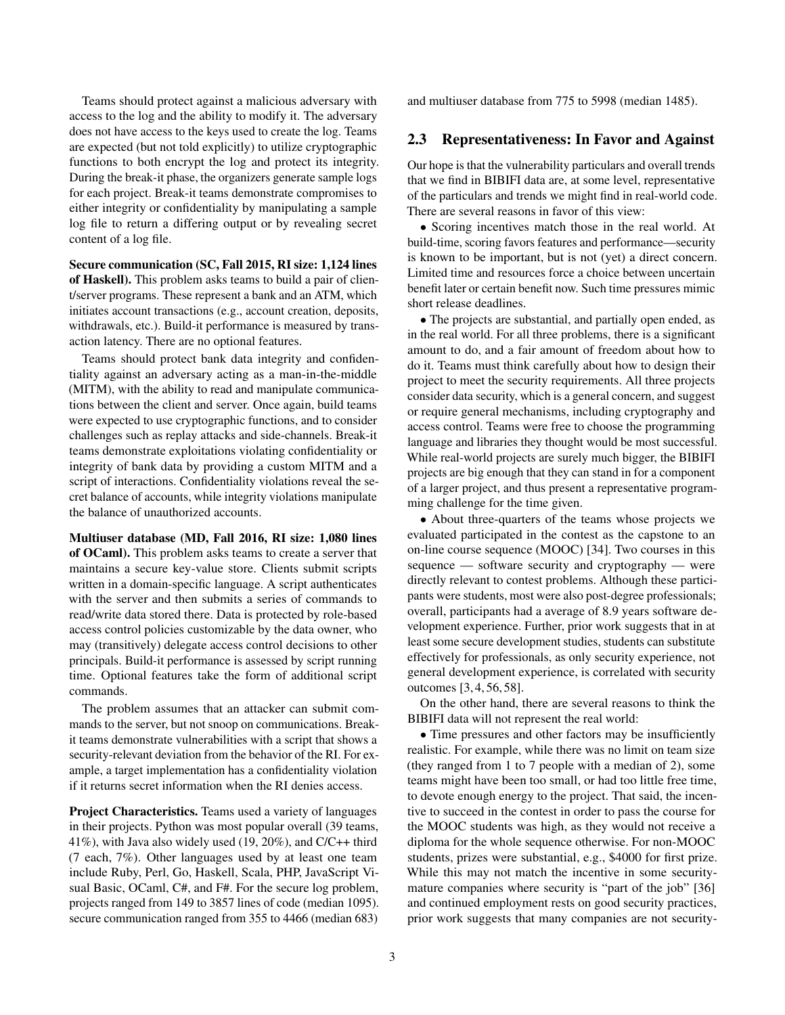Teams should protect against a malicious adversary with access to the log and the ability to modify it. The adversary does not have access to the keys used to create the log. Teams are expected (but not told explicitly) to utilize cryptographic functions to both encrypt the log and protect its integrity. During the break-it phase, the organizers generate sample logs for each project. Break-it teams demonstrate compromises to either integrity or confidentiality by manipulating a sample log file to return a differing output or by revealing secret content of a log file.

Secure communication (SC, Fall 2015, RI size: 1,124 lines of Haskell). This problem asks teams to build a pair of client/server programs. These represent a bank and an ATM, which initiates account transactions (e.g., account creation, deposits, withdrawals, etc.). Build-it performance is measured by transaction latency. There are no optional features.

Teams should protect bank data integrity and confidentiality against an adversary acting as a man-in-the-middle (MITM), with the ability to read and manipulate communications between the client and server. Once again, build teams were expected to use cryptographic functions, and to consider challenges such as replay attacks and side-channels. Break-it teams demonstrate exploitations violating confidentiality or integrity of bank data by providing a custom MITM and a script of interactions. Confidentiality violations reveal the secret balance of accounts, while integrity violations manipulate the balance of unauthorized accounts.

Multiuser database (MD, Fall 2016, RI size: 1,080 lines of OCaml). This problem asks teams to create a server that maintains a secure key-value store. Clients submit scripts written in a domain-specific language. A script authenticates with the server and then submits a series of commands to read/write data stored there. Data is protected by role-based access control policies customizable by the data owner, who may (transitively) delegate access control decisions to other principals. Build-it performance is assessed by script running time. Optional features take the form of additional script commands.

The problem assumes that an attacker can submit commands to the server, but not snoop on communications. Breakit teams demonstrate vulnerabilities with a script that shows a security-relevant deviation from the behavior of the RI. For example, a target implementation has a confidentiality violation if it returns secret information when the RI denies access.

Project Characteristics. Teams used a variety of languages in their projects. Python was most popular overall (39 teams, 41%), with Java also widely used (19, 20%), and C/C++ third (7 each, 7%). Other languages used by at least one team include Ruby, Perl, Go, Haskell, Scala, PHP, JavaScript Visual Basic, OCaml, C#, and F#. For the secure log problem, projects ranged from 149 to 3857 lines of code (median 1095). secure communication ranged from 355 to 4466 (median 683) and multiuser database from 775 to 5998 (median 1485).

### 2.3 Representativeness: In Favor and Against

Our hope is that the vulnerability particulars and overall trends that we find in BIBIFI data are, at some level, representative of the particulars and trends we might find in real-world code. There are several reasons in favor of this view:

• Scoring incentives match those in the real world. At build-time, scoring favors features and performance—security is known to be important, but is not (yet) a direct concern. Limited time and resources force a choice between uncertain benefit later or certain benefit now. Such time pressures mimic short release deadlines.

• The projects are substantial, and partially open ended, as in the real world. For all three problems, there is a significant amount to do, and a fair amount of freedom about how to do it. Teams must think carefully about how to design their project to meet the security requirements. All three projects consider data security, which is a general concern, and suggest or require general mechanisms, including cryptography and access control. Teams were free to choose the programming language and libraries they thought would be most successful. While real-world projects are surely much bigger, the BIBIFI projects are big enough that they can stand in for a component of a larger project, and thus present a representative programming challenge for the time given.

• About three-quarters of the teams whose projects we evaluated participated in the contest as the capstone to an on-line course sequence (MOOC) [\[34\]](#page-14-8). Two courses in this sequence — software security and cryptography — were directly relevant to contest problems. Although these participants were students, most were also post-degree professionals; overall, participants had a average of 8.9 years software development experience. Further, prior work suggests that in at least some secure development studies, students can substitute effectively for professionals, as only security experience, not general development experience, is correlated with security outcomes [\[3,](#page-13-15) [4,](#page-13-16) [56,](#page-14-15) [58\]](#page-14-16).

On the other hand, there are several reasons to think the BIBIFI data will not represent the real world:

• Time pressures and other factors may be insufficiently realistic. For example, while there was no limit on team size (they ranged from 1 to 7 people with a median of 2), some teams might have been too small, or had too little free time, to devote enough energy to the project. That said, the incentive to succeed in the contest in order to pass the course for the MOOC students was high, as they would not receive a diploma for the whole sequence otherwise. For non-MOOC students, prizes were substantial, e.g., \$4000 for first prize. While this may not match the incentive in some securitymature companies where security is "part of the job" [\[36\]](#page-14-17) and continued employment rests on good security practices, prior work suggests that many companies are not security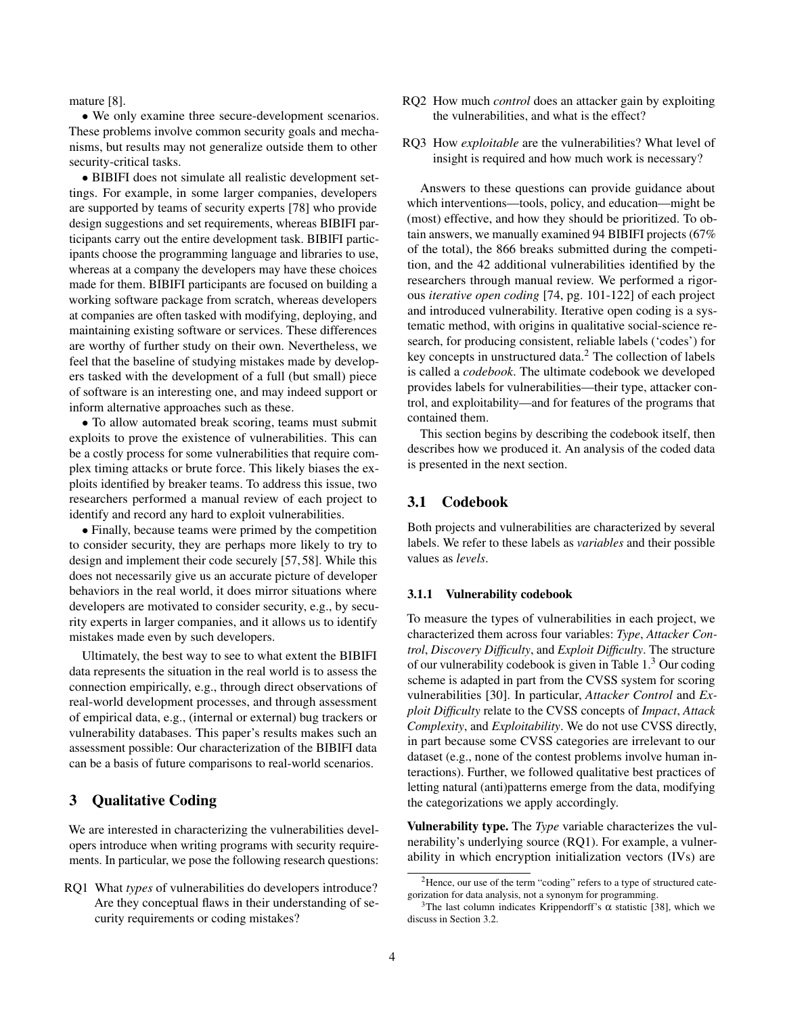mature [\[8\]](#page-13-17).

• We only examine three secure-development scenarios. These problems involve common security goals and mechanisms, but results may not generalize outside them to other security-critical tasks.

• BIBIFI does not simulate all realistic development settings. For example, in some larger companies, developers are supported by teams of security experts [\[78\]](#page-15-12) who provide design suggestions and set requirements, whereas BIBIFI participants carry out the entire development task. BIBIFI participants choose the programming language and libraries to use, whereas at a company the developers may have these choices made for them. BIBIFI participants are focused on building a working software package from scratch, whereas developers at companies are often tasked with modifying, deploying, and maintaining existing software or services. These differences are worthy of further study on their own. Nevertheless, we feel that the baseline of studying mistakes made by developers tasked with the development of a full (but small) piece of software is an interesting one, and may indeed support or inform alternative approaches such as these.

• To allow automated break scoring, teams must submit exploits to prove the existence of vulnerabilities. This can be a costly process for some vulnerabilities that require complex timing attacks or brute force. This likely biases the exploits identified by breaker teams. To address this issue, two researchers performed a manual review of each project to identify and record any hard to exploit vulnerabilities.

• Finally, because teams were primed by the competition to consider security, they are perhaps more likely to try to design and implement their code securely [\[57,](#page-14-10) [58\]](#page-14-16). While this does not necessarily give us an accurate picture of developer behaviors in the real world, it does mirror situations where developers are motivated to consider security, e.g., by security experts in larger companies, and it allows us to identify mistakes made even by such developers.

Ultimately, the best way to see to what extent the BIBIFI data represents the situation in the real world is to assess the connection empirically, e.g., through direct observations of real-world development processes, and through assessment of empirical data, e.g., (internal or external) bug trackers or vulnerability databases. This paper's results makes such an assessment possible: Our characterization of the BIBIFI data can be a basis of future comparisons to real-world scenarios.

### 3 Qualitative Coding

We are interested in characterizing the vulnerabilities developers introduce when writing programs with security requirements. In particular, we pose the following research questions:

RQ1 What *types* of vulnerabilities do developers introduce? Are they conceptual flaws in their understanding of security requirements or coding mistakes?

- RQ2 How much *control* does an attacker gain by exploiting the vulnerabilities, and what is the effect?
- RQ3 How *exploitable* are the vulnerabilities? What level of insight is required and how much work is necessary?

Answers to these questions can provide guidance about which interventions—tools, policy, and education—might be (most) effective, and how they should be prioritized. To obtain answers, we manually examined 94 BIBIFI projects (67% of the total), the 866 breaks submitted during the competition, and the 42 additional vulnerabilities identified by the researchers through manual review. We performed a rigorous *iterative open coding* [\[74,](#page-15-13) pg. 101-122] of each project and introduced vulnerability. Iterative open coding is a systematic method, with origins in qualitative social-science research, for producing consistent, reliable labels ('codes') for key concepts in unstructured data.<sup>[2](#page-3-0)</sup> The collection of labels is called a *codebook*. The ultimate codebook we developed provides labels for vulnerabilities—their type, attacker control, and exploitability—and for features of the programs that contained them.

This section begins by describing the codebook itself, then describes how we produced it. An analysis of the coded data is presented in the next section.

# 3.1 Codebook

Both projects and vulnerabilities are characterized by several labels. We refer to these labels as *variables* and their possible values as *levels*.

#### 3.1.1 Vulnerability codebook

To measure the types of vulnerabilities in each project, we characterized them across four variables: *Type*, *Attacker Control*, *Discovery Difficulty*, and *Exploit Difficulty*. The structure of our vulnerability codebook is given in Table [1.](#page-4-0)<sup>[3](#page-3-1)</sup> Our coding scheme is adapted in part from the CVSS system for scoring vulnerabilities [\[30\]](#page-14-18). In particular, *Attacker Control* and *Exploit Difficulty* relate to the CVSS concepts of *Impact*, *Attack Complexity*, and *Exploitability*. We do not use CVSS directly, in part because some CVSS categories are irrelevant to our dataset (e.g., none of the contest problems involve human interactions). Further, we followed qualitative best practices of letting natural (anti)patterns emerge from the data, modifying the categorizations we apply accordingly.

Vulnerability type. The *Type* variable characterizes the vulnerability's underlying source (RQ1). For example, a vulnerability in which encryption initialization vectors (IVs) are

<span id="page-3-0"></span><sup>2</sup>Hence, our use of the term "coding" refers to a type of structured categorization for data analysis, not a synonym for programming.

<span id="page-3-1"></span><sup>&</sup>lt;sup>3</sup>The last column indicates Krippendorff's  $\alpha$  statistic [\[38\]](#page-14-19), which we discuss in Section [3.2.](#page-4-1)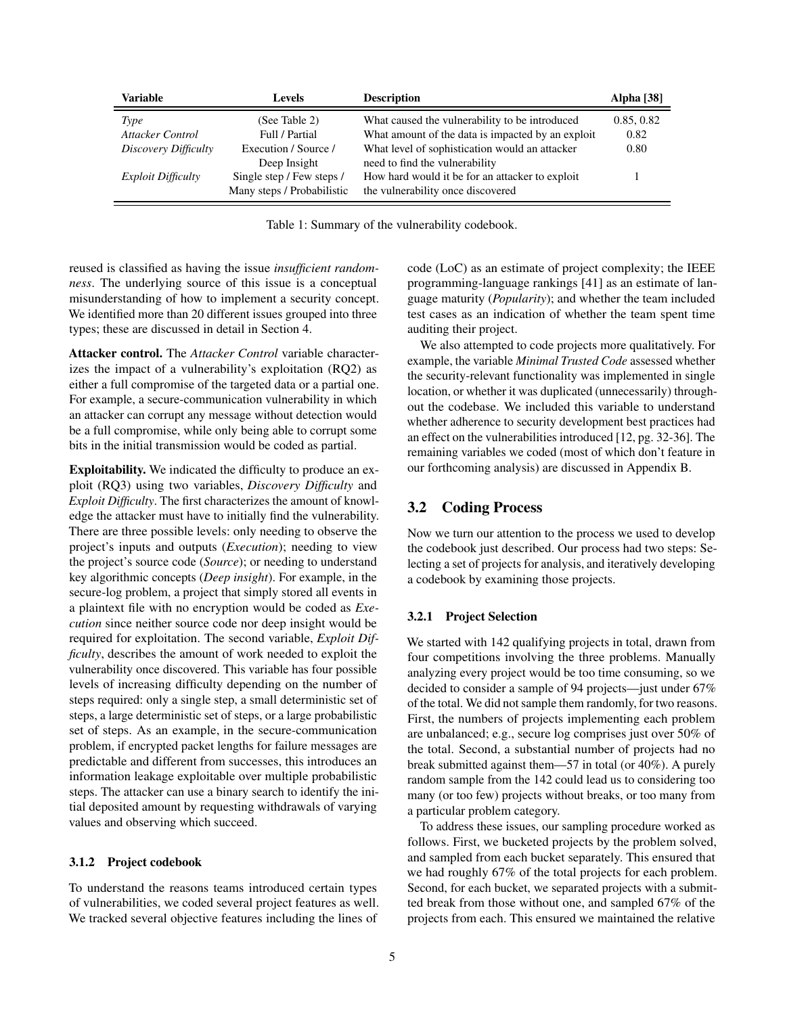<span id="page-4-0"></span>

| Variable                  | Levels                     | <b>Description</b>                                | Alpha [38] |
|---------------------------|----------------------------|---------------------------------------------------|------------|
| Type                      | (See Table 2)              | What caused the vulnerability to be introduced    | 0.85, 0.82 |
| <b>Attacker Control</b>   | Full / Partial             | What amount of the data is impacted by an exploit | 0.82       |
| Discovery Difficulty      | Execution / Source /       | What level of sophistication would an attacker    | 0.80       |
|                           | Deep Insight               | need to find the vulnerability                    |            |
| <i>Exploit Difficulty</i> | Single step / Few steps /  | How hard would it be for an attacker to exploit   |            |
|                           | Many steps / Probabilistic | the vulnerability once discovered                 |            |

Table 1: Summary of the vulnerability codebook.

reused is classified as having the issue *insufficient randomness*. The underlying source of this issue is a conceptual misunderstanding of how to implement a security concept. We identified more than 20 different issues grouped into three types; these are discussed in detail in Section [4.](#page-5-0)

Attacker control. The *Attacker Control* variable characterizes the impact of a vulnerability's exploitation (RQ2) as either a full compromise of the targeted data or a partial one. For example, a secure-communication vulnerability in which an attacker can corrupt any message without detection would be a full compromise, while only being able to corrupt some bits in the initial transmission would be coded as partial.

Exploitability. We indicated the difficulty to produce an exploit (RQ3) using two variables, *Discovery Difficulty* and *Exploit Difficulty*. The first characterizes the amount of knowledge the attacker must have to initially find the vulnerability. There are three possible levels: only needing to observe the project's inputs and outputs (*Execution*); needing to view the project's source code (*Source*); or needing to understand key algorithmic concepts (*Deep insight*). For example, in the secure-log problem, a project that simply stored all events in a plaintext file with no encryption would be coded as *Execution* since neither source code nor deep insight would be required for exploitation. The second variable, *Exploit Difficulty*, describes the amount of work needed to exploit the vulnerability once discovered. This variable has four possible levels of increasing difficulty depending on the number of steps required: only a single step, a small deterministic set of steps, a large deterministic set of steps, or a large probabilistic set of steps. As an example, in the secure-communication problem, if encrypted packet lengths for failure messages are predictable and different from successes, this introduces an information leakage exploitable over multiple probabilistic steps. The attacker can use a binary search to identify the initial deposited amount by requesting withdrawals of varying values and observing which succeed.

#### 3.1.2 Project codebook

To understand the reasons teams introduced certain types of vulnerabilities, we coded several project features as well. We tracked several objective features including the lines of

code (LoC) as an estimate of project complexity; the IEEE programming-language rankings [\[41\]](#page-14-20) as an estimate of language maturity (*Popularity*); and whether the team included test cases as an indication of whether the team spent time auditing their project.

We also attempted to code projects more qualitatively. For example, the variable *Minimal Trusted Code* assessed whether the security-relevant functionality was implemented in single location, or whether it was duplicated (unnecessarily) throughout the codebase. We included this variable to understand whether adherence to security development best practices had an effect on the vulnerabilities introduced [\[12,](#page-13-18) pg. 32-36]. The remaining variables we coded (most of which don't feature in our forthcoming analysis) are discussed in Appendix [B.](#page-15-14)

### <span id="page-4-1"></span>3.2 Coding Process

Now we turn our attention to the process we used to develop the codebook just described. Our process had two steps: Selecting a set of projects for analysis, and iteratively developing a codebook by examining those projects.

#### 3.2.1 Project Selection

We started with 142 qualifying projects in total, drawn from four competitions involving the three problems. Manually analyzing every project would be too time consuming, so we decided to consider a sample of 94 projects—just under 67% of the total. We did not sample them randomly, for two reasons. First, the numbers of projects implementing each problem are unbalanced; e.g., secure log comprises just over 50% of the total. Second, a substantial number of projects had no break submitted against them—57 in total (or 40%). A purely random sample from the 142 could lead us to considering too many (or too few) projects without breaks, or too many from a particular problem category.

To address these issues, our sampling procedure worked as follows. First, we bucketed projects by the problem solved, and sampled from each bucket separately. This ensured that we had roughly 67% of the total projects for each problem. Second, for each bucket, we separated projects with a submitted break from those without one, and sampled 67% of the projects from each. This ensured we maintained the relative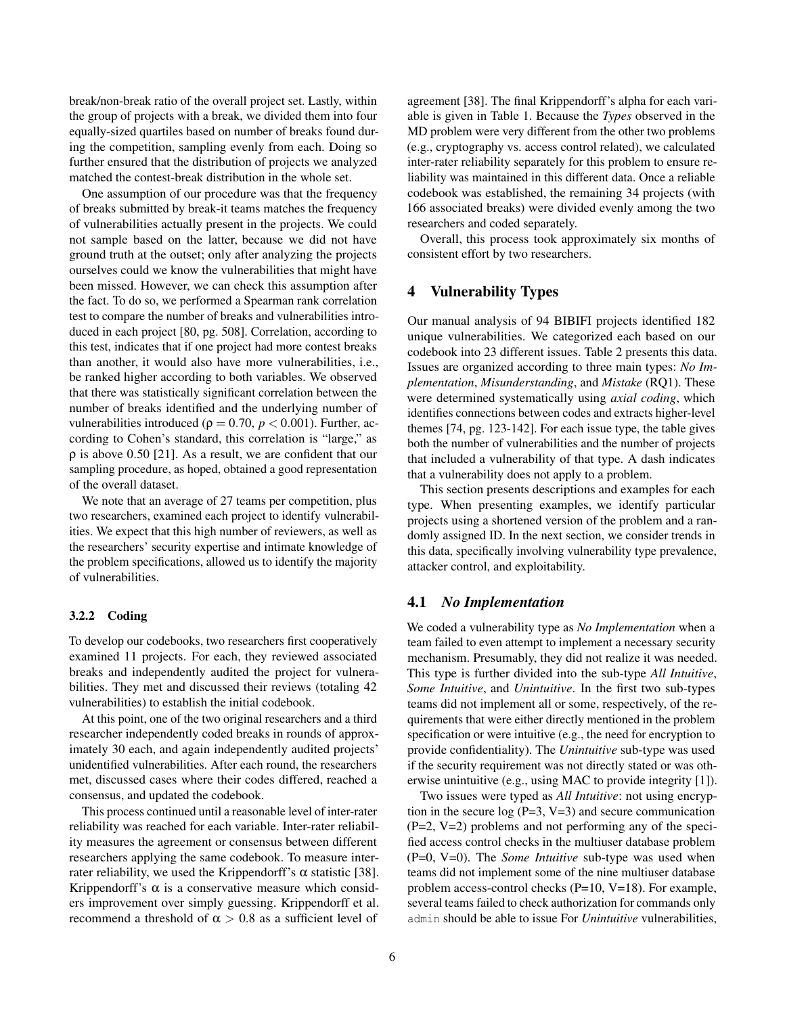break/non-break ratio of the overall project set. Lastly, within the group of projects with a break, we divided them into four equally-sized quartiles based on number of breaks found during the competition, sampling evenly from each. Doing so further ensured that the distribution of projects we analyzed matched the contest-break distribution in the whole set.

One assumption of our procedure was that the frequency of breaks submitted by break-it teams matches the frequency of vulnerabilities actually present in the projects. We could not sample based on the latter, because we did not have ground truth at the outset; only after analyzing the projects ourselves could we know the vulnerabilities that might have been missed. However, we can check this assumption after the fact. To do so, we performed a Spearman rank correlation test to compare the number of breaks and vulnerabilities introduced in each project [\[80,](#page-15-15) pg. 508]. Correlation, according to this test, indicates that if one project had more contest breaks than another, it would also have more vulnerabilities, i.e., be ranked higher according to both variables. We observed that there was statistically significant correlation between the number of breaks identified and the underlying number of vulnerabilities introduced ( $ρ = 0.70, p < 0.001$ ). Further, according to Cohen's standard, this correlation is "large," as  $\rho$  is above 0.50 [\[21\]](#page-13-19). As a result, we are confident that our sampling procedure, as hoped, obtained a good representation of the overall dataset.

We note that an average of 27 teams per competition, plus two researchers, examined each project to identify vulnerabilities. We expect that this high number of reviewers, as well as the researchers' security expertise and intimate knowledge of the problem specifications, allowed us to identify the majority of vulnerabilities.

#### 3.2.2 Coding

To develop our codebooks, two researchers first cooperatively examined 11 projects. For each, they reviewed associated breaks and independently audited the project for vulnerabilities. They met and discussed their reviews (totaling 42 vulnerabilities) to establish the initial codebook.

At this point, one of the two original researchers and a third researcher independently coded breaks in rounds of approximately 30 each, and again independently audited projects' unidentified vulnerabilities. After each round, the researchers met, discussed cases where their codes differed, reached a consensus, and updated the codebook.

This process continued until a reasonable level of inter-rater reliability was reached for each variable. Inter-rater reliability measures the agreement or consensus between different researchers applying the same codebook. To measure interrater reliability, we used the Krippendorff's  $\alpha$  statistic [\[38\]](#page-14-19). Krippendorff's  $\alpha$  is a conservative measure which considers improvement over simply guessing. Krippendorff et al. recommend a threshold of  $\alpha > 0.8$  as a sufficient level of

agreement [\[38\]](#page-14-19). The final Krippendorff's alpha for each variable is given in Table [1.](#page-4-0) Because the *Types* observed in the MD problem were very different from the other two problems (e.g., cryptography vs. access control related), we calculated inter-rater reliability separately for this problem to ensure reliability was maintained in this different data. Once a reliable codebook was established, the remaining 34 projects (with 166 associated breaks) were divided evenly among the two researchers and coded separately.

Overall, this process took approximately six months of consistent effort by two researchers.

### <span id="page-5-0"></span>4 Vulnerability Types

Our manual analysis of 94 BIBIFI projects identified 182 unique vulnerabilities. We categorized each based on our codebook into 23 different issues. Table [2](#page-6-0) presents this data. Issues are organized according to three main types: *No Implementation*, *Misunderstanding*, and *Mistake* (RQ1). These were determined systematically using *axial coding*, which identifies connections between codes and extracts higher-level themes [\[74,](#page-15-13) pg. 123-142]. For each issue type, the table gives both the number of vulnerabilities and the number of projects that included a vulnerability of that type. A dash indicates that a vulnerability does not apply to a problem.

This section presents descriptions and examples for each type. When presenting examples, we identify particular projects using a shortened version of the problem and a randomly assigned ID. In the next section, we consider trends in this data, specifically involving vulnerability type prevalence, attacker control, and exploitability.

### 4.1 *No Implementation*

We coded a vulnerability type as *No Implementation* when a team failed to even attempt to implement a necessary security mechanism. Presumably, they did not realize it was needed. This type is further divided into the sub-type *All Intuitive*, *Some Intuitive*, and *Unintuitive*. In the first two sub-types teams did not implement all or some, respectively, of the requirements that were either directly mentioned in the problem specification or were intuitive (e.g., the need for encryption to provide confidentiality). The *Unintuitive* sub-type was used if the security requirement was not directly stated or was otherwise unintuitive (e.g., using MAC to provide integrity [\[1\]](#page-13-20)).

Two issues were typed as *All Intuitive*: not using encryption in the secure log  $(P=3, V=3)$  and secure communication (P=2, V=2) problems and not performing any of the specified access control checks in the multiuser database problem (P=0, V=0). The *Some Intuitive* sub-type was used when teams did not implement some of the nine multiuser database problem access-control checks (P=10, V=18). For example, several teams failed to check authorization for commands only admin should be able to issue For *Unintuitive* vulnerabilities,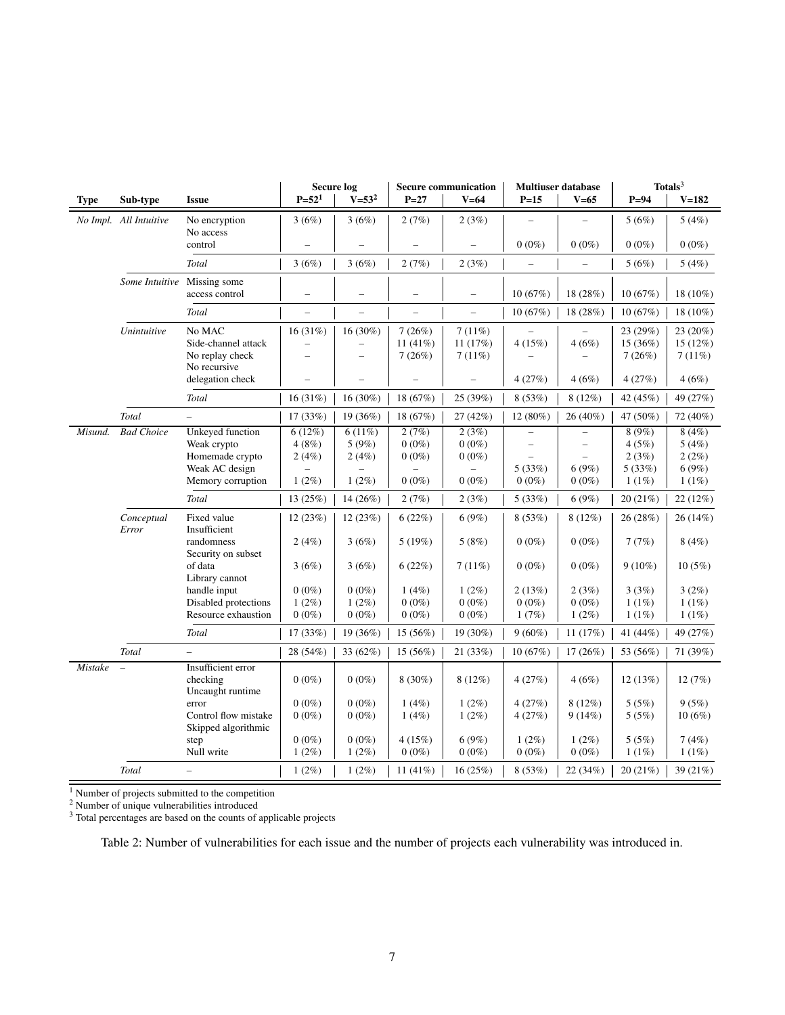<span id="page-6-0"></span>

|                |                        |                                                                                                  |                                      | <b>Secure log</b>                                                |                                           | <b>Secure communication</b>                                           |                                                                                                 | <b>Multiuser database</b>                                                 |                                            | Totals $3$                                |
|----------------|------------------------|--------------------------------------------------------------------------------------------------|--------------------------------------|------------------------------------------------------------------|-------------------------------------------|-----------------------------------------------------------------------|-------------------------------------------------------------------------------------------------|---------------------------------------------------------------------------|--------------------------------------------|-------------------------------------------|
| <b>Type</b>    | Sub-type               | <b>Issue</b>                                                                                     | $P = 521$                            | $V = 53^2$                                                       | $P = 27$                                  | $V=64$                                                                | $P=15$                                                                                          | $V=65$                                                                    | $P = 94$                                   | $V = 182$                                 |
|                | No Impl. All Intuitive | No encryption<br>No access                                                                       | 3(6%)                                | 3(6%)                                                            | 2(7%)                                     | 2(3%)                                                                 |                                                                                                 |                                                                           | 5(6%)                                      | 5(4%)                                     |
|                |                        | control                                                                                          |                                      |                                                                  |                                           |                                                                       | $0(0\%)$                                                                                        | $0(0\%)$                                                                  | $0(0\%)$                                   | $0(0\%)$                                  |
|                |                        | Total                                                                                            | 3(6%)                                | 3(6%)                                                            | 2(7%)                                     | 2(3%)                                                                 |                                                                                                 | $\overline{\phantom{0}}$                                                  | 5(6%)                                      | 5(4%)                                     |
|                | Some Intuitive         | Missing some<br>access control                                                                   | $\qquad \qquad -$                    | -                                                                | $\overline{\phantom{m}}$                  | $\qquad \qquad -$                                                     | 10(67%)                                                                                         | 18 (28%)                                                                  | 10(67%)                                    | 18 (10%)                                  |
|                |                        | Total                                                                                            | $\overline{\phantom{0}}$             | $\overline{\phantom{0}}$                                         | $\overline{\phantom{0}}$                  | $\overline{\phantom{0}}$                                              | 10(67%)                                                                                         | 18 (28%)                                                                  | 10(67%)                                    | 18 (10%)                                  |
|                | Unintuitive            | No MAC<br>Side-channel attack<br>No replay check                                                 | 16(31%)<br>$\overline{a}$            | 16 (30%)<br>$\overline{\phantom{0}}$<br>$\overline{\phantom{0}}$ | 7(26%)<br>11 (41%)<br>7(26%)              | 7(11%)<br>11 (17%)<br>7(11%)                                          | 4(15%)                                                                                          | 4(6%)                                                                     | 23 (29%)<br>15 (36%)<br>7(26%)             | 23 (20%)<br>15 (12%)<br>7(11%)            |
|                |                        | No recursive<br>delegation check                                                                 | $\overline{a}$                       | $\overline{\phantom{0}}$                                         |                                           |                                                                       | 4(27%)                                                                                          | 4(6%)                                                                     | 4(27%)                                     | 4(6%)                                     |
|                |                        | Total                                                                                            | 16(31%)                              | $16(30\%)$                                                       | 18 (67%)                                  | 25 (39%)                                                              | 8(53%)                                                                                          | $8(12\%)$                                                                 | 42 (45%)                                   | 49 (27%)                                  |
|                | Total                  | $\equiv$                                                                                         | 17 (33%)                             | 19 (36%)                                                         | 18 (67%)                                  | 27 (42%)                                                              | 12 (80%)                                                                                        | 26 (40%)                                                                  | 47 (50%)                                   | 72 (40%)                                  |
| Misund.        | <b>Bad Choice</b>      | <b>Unkeyed</b> function<br>Weak crypto<br>Homemade crypto<br>Weak AC design<br>Memory corruption | 6(12%)<br>4(8%)<br>2(4%)<br>$1(2\%)$ | 6(11%)<br>5(9%)<br>2(4%)<br>$1(2\%)$                             | 2(7%)<br>$0(0\%)$<br>$0(0\%)$<br>$0(0\%)$ | 2(3%)<br>$0(0\%)$<br>$0(0\%)$<br>$\overline{\phantom{0}}$<br>$0(0\%)$ | $\qquad \qquad -$<br>$\overline{\phantom{m}}$<br>$\overline{\phantom{0}}$<br>5(33%)<br>$0(0\%)$ | $\overline{\phantom{a}}$<br>$\overline{\phantom{0}}$<br>6(9%)<br>$0(0\%)$ | 8(9%)<br>4(5%)<br>2(3%)<br>5(33%)<br>1(1%) | 8(4%)<br>5(4%)<br>2(2%)<br>6(9%)<br>1(1%) |
|                |                        | Total                                                                                            | 13 (25%)                             | 14 (26%)                                                         | 2(7%)                                     | 2(3%)                                                                 | 5(33%)                                                                                          | 6(9%)                                                                     | 20 (21%)                                   | 22 (12%)                                  |
|                | Conceptual<br>Error    | Fixed value<br>Insufficient<br>randomness                                                        | 12(23%)<br>2(4%)                     | 12(23%)<br>3(6%)                                                 | 6(22%)<br>5(19%)                          | 6(9%)<br>5(8%)                                                        | 8(53%)<br>$0(0\%)$                                                                              | $8(12\%)$<br>$0(0\%)$                                                     | 26(28%)<br>7(7%)                           | 26(14%)<br>8(4%)                          |
|                |                        | Security on subset<br>of data<br>Library cannot                                                  | 3(6%)                                | 3(6%)                                                            | 6(22%)                                    | 7(11%)                                                                | $0(0\%)$                                                                                        | $0(0\%)$                                                                  | $9(10\%)$                                  | 10(5%)                                    |
|                |                        | handle input<br>Disabled protections<br>Resource exhaustion                                      | $0(0\%)$<br>$1(2\%)$<br>$0(0\%)$     | $0(0\%)$<br>$1(2\%)$<br>$0(0\%)$                                 | 1(4%)<br>$0(0\%)$<br>$0(0\%)$             | $1(2\%)$<br>$0(0\%)$<br>$0(0\%)$                                      | 2(13%)<br>$0(0\%)$<br>1(7%)                                                                     | 2(3%)<br>$0(0\%)$<br>$1(2\%)$                                             | 3(3%)<br>1(1%)<br>1(1%)                    | 3(2%)<br>1(1%)<br>1(1%)                   |
|                |                        | Total                                                                                            | 17(33%)                              | 19(36%)                                                          | 15(56%)                                   | 19 (30%)                                                              | $9(60\%)$                                                                                       | 11(17%)                                                                   | 41 (44%)                                   | 49 (27%)                                  |
|                | Total                  | $\overline{\phantom{0}}$                                                                         | 28 (54%)                             | 33 (62%)                                                         | 15 (56%)                                  | 21 (33%)                                                              | 10(67%)                                                                                         | 17(26%)                                                                   | 53 (56%)                                   | 71 (39%)                                  |
| <b>Mistake</b> | $\equiv$               | Insufficient error<br>checking<br>Uncaught runtime                                               | $0(0\%)$                             | $0(0\%)$                                                         | $8(30\%)$                                 | 8(12%)                                                                | 4(27%)                                                                                          | 4(6%)                                                                     | 12(13%)                                    | 12(7%)                                    |
|                |                        | error<br>Control flow mistake<br>Skipped algorithmic                                             | $0(0\%)$<br>$0(0\%)$                 | $0(0\%)$<br>$0(0\%)$                                             | 1(4%)<br>1(4%)                            | $1(2\%)$<br>$1(2\%)$                                                  | 4(27%)<br>4(27%)                                                                                | $8(12\%)$<br>9(14%)                                                       | 5(5%)<br>5(5%)                             | 9(5%)<br>10(6%)                           |
|                |                        | step<br>Null write                                                                               | $0(0\%)$<br>$1(2\%)$                 | $0(0\%)$<br>$1(2\%)$                                             | 4(15%)<br>$0(0\%)$                        | 6(9%)<br>$0(0\%)$                                                     | $1(2\%)$<br>$0(0\%)$                                                                            | $1(2\%)$<br>$0(0\%)$                                                      | 5(5%)<br>1(1%)                             | 7(4%)<br>$1(1\%)$                         |
|                | Total                  | $\overline{\phantom{0}}$                                                                         | $1(2\%)$                             | $1(2\%)$                                                         | 11 $(41\%)$                               | 16 (25%)                                                              | 8(53%)                                                                                          | 22(34%)                                                                   | 20 (21%)                                   | 39 (21%)                                  |

<sup>1</sup> Number of projects submitted to the competition

<sup>2</sup> Number of unique vulnerabilities introduced

<sup>3</sup> Total percentages are based on the counts of applicable projects

Table 2: Number of vulnerabilities for each issue and the number of projects each vulnerability was introduced in.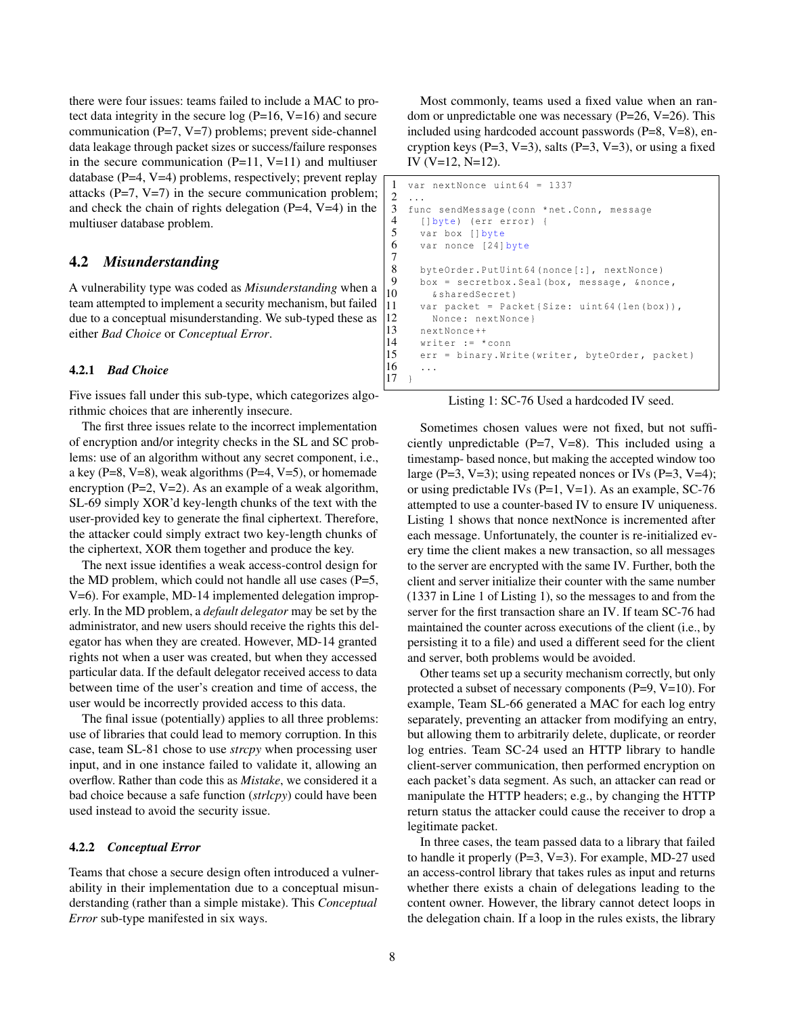there were four issues: teams failed to include a MAC to protect data integrity in the secure  $log(P=16, V=16)$  and secure communication  $(P=7, V=7)$  problems; prevent side-channel data leakage through packet sizes or success/failure responses in the secure communication  $(P=11, V=11)$  and multiuser database (P=4, V=4) problems, respectively; prevent replay attacks  $(P=7, V=7)$  in the secure communication problem; and check the chain of rights delegation  $(P=4, V=4)$  in the multiuser database problem.

### 4.2 *Misunderstanding*

A vulnerability type was coded as *Misunderstanding* when a team attempted to implement a security mechanism, but failed due to a conceptual misunderstanding. We sub-typed these as either *Bad Choice* or *Conceptual Error*.

#### 4.2.1 *Bad Choice*

Five issues fall under this sub-type, which categorizes algorithmic choices that are inherently insecure.

The first three issues relate to the incorrect implementation of encryption and/or integrity checks in the SL and SC problems: use of an algorithm without any secret component, i.e., a key ( $P=8$ ,  $V=8$ ), weak algorithms ( $P=4$ ,  $V=5$ ), or homemade encryption ( $P=2$ ,  $V=2$ ). As an example of a weak algorithm, SL-69 simply XOR'd key-length chunks of the text with the user-provided key to generate the final ciphertext. Therefore, the attacker could simply extract two key-length chunks of the ciphertext, XOR them together and produce the key.

The next issue identifies a weak access-control design for the MD problem, which could not handle all use cases  $(P=5,$ V=6). For example, MD-14 implemented delegation improperly. In the MD problem, a *default delegator* may be set by the administrator, and new users should receive the rights this delegator has when they are created. However, MD-14 granted rights not when a user was created, but when they accessed particular data. If the default delegator received access to data between time of the user's creation and time of access, the user would be incorrectly provided access to this data.

The final issue (potentially) applies to all three problems: use of libraries that could lead to memory corruption. In this case, team SL-81 chose to use *strcpy* when processing user input, and in one instance failed to validate it, allowing an overflow. Rather than code this as *Mistake*, we considered it a bad choice because a safe function (*strlcpy*) could have been used instead to avoid the security issue.

#### 4.2.2 *Conceptual Error*

Teams that chose a secure design often introduced a vulnerability in their implementation due to a conceptual misunderstanding (rather than a simple mistake). This *Conceptual Error* sub-type manifested in six ways.

Most commonly, teams used a fixed value when an random or unpredictable one was necessary ( $P=26$ ,  $V=26$ ). This included using hardcoded account passwords (P=8, V=8), encryption keys ( $P=3$ ,  $V=3$ ), salts ( $P=3$ ,  $V=3$ ), or using a fixed IV (V=12, N=12).

```
\frac{1}{2} var nextNonce uint64 = 1337
 \frac{2}{3} ...
     func sendMessage (conn *net . Conn, message
 4 [] byte) (err error) {<br>5 var box [] byte
 5 var box [] byte<br>6 var nonce [24]
        var nonce [24] byte
 8 byteOrder.PutUint64 (nonce [:], nextNonce)<br>9 box = secrethox Seal (box message fronc
9 box = secretbox. Seal (box, message, \delta nonce, 10 \delta shared Secret)
10 & sharedSecret)<br>11 yar packet = Pac
         var packet = Packet { Size: uint64 (len (box)),
12 Nonce: nextNonce }
13 nextNonce ++<br>14 writer := *
         writer := * conn
15 err = binary. Write (writer, byteOrder, packet)<br>16
     \begin{array}{c} \cdot \cdot \cdot \\ \cdot \\ \cdot \end{array}
```
Listing 1: SC-76 Used a hardcoded IV seed.

Sometimes chosen values were not fixed, but not sufficiently unpredictable  $(P=7, V=8)$ . This included using a timestamp- based nonce, but making the accepted window too large (P=3, V=3); using repeated nonces or IVs (P=3, V=4); or using predictable IVs  $(P=1, V=1)$ . As an example, SC-76 attempted to use a counter-based IV to ensure IV uniqueness. Listing [1](#page-7-0) shows that nonce nextNonce is incremented after each message. Unfortunately, the counter is re-initialized every time the client makes a new transaction, so all messages to the server are encrypted with the same IV. Further, both the client and server initialize their counter with the same number (1337 in Line 1 of Listing [1\)](#page-7-0), so the messages to and from the server for the first transaction share an IV. If team SC-76 had maintained the counter across executions of the client (i.e., by persisting it to a file) and used a different seed for the client and server, both problems would be avoided.

Other teams set up a security mechanism correctly, but only protected a subset of necessary components (P=9, V=10). For example, Team SL-66 generated a MAC for each log entry separately, preventing an attacker from modifying an entry, but allowing them to arbitrarily delete, duplicate, or reorder log entries. Team SC-24 used an HTTP library to handle client-server communication, then performed encryption on each packet's data segment. As such, an attacker can read or manipulate the HTTP headers; e.g., by changing the HTTP return status the attacker could cause the receiver to drop a legitimate packet.

In three cases, the team passed data to a library that failed to handle it properly (P=3, V=3). For example, MD-27 used an access-control library that takes rules as input and returns whether there exists a chain of delegations leading to the content owner. However, the library cannot detect loops in the delegation chain. If a loop in the rules exists, the library

 $\begin{array}{c} 7 \\ 8 \end{array}$ 

17 }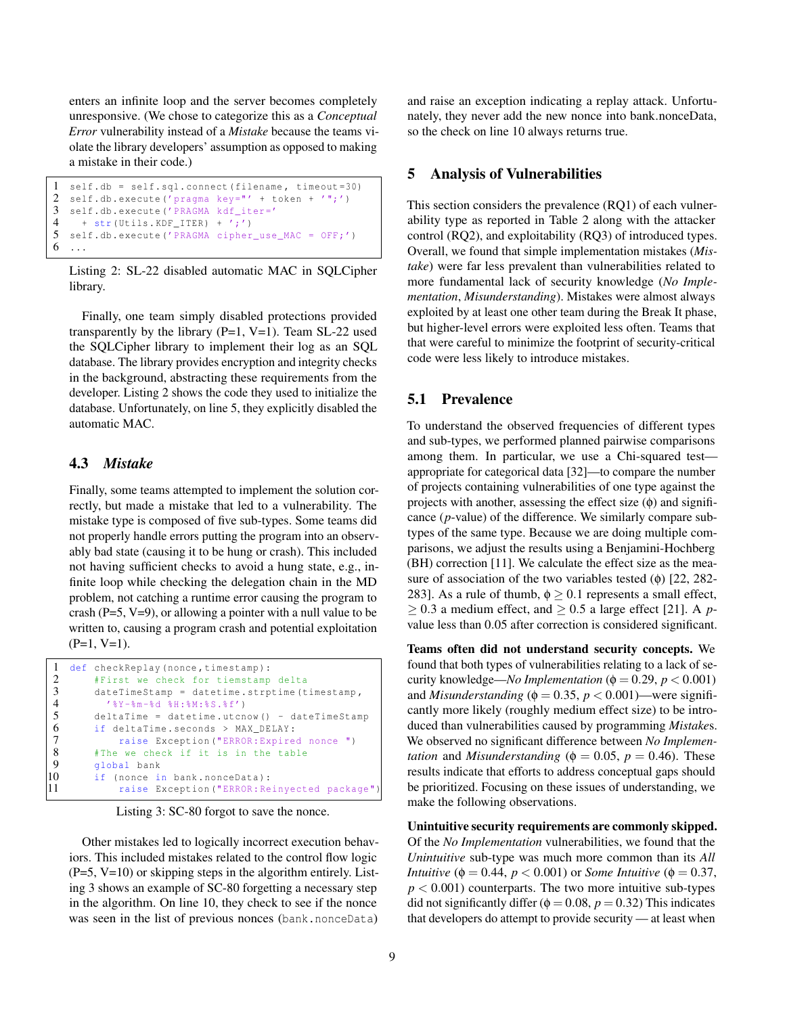enters an infinite loop and the server becomes completely unresponsive. (We chose to categorize this as a *Conceptual Error* vulnerability instead of a *Mistake* because the teams violate the library developers' assumption as opposed to making a mistake in their code.)

```
1 self.db = self.sql.connect (filename, timeout=30)<br>2 self.db.execute('pragma_key="' + token + '";')
2 self.db. execute ('pragma key="' + token + '";')<br>3 self.db. execute ('PRAGMA kdf iter='
   3 self . db . execute ('PRAGMA kdf_iter='
4 + str(Utils.KDF_IF'. 4';')
5 self . db . execute ('PRAGMA cipher_use_MAC = OFF;')
6 \ldots
```
Listing 2: SL-22 disabled automatic MAC in SQLCipher library.

Finally, one team simply disabled protections provided transparently by the library  $(P=1, V=1)$ . Team SL-22 used the SQLCipher library to implement their log as an SQL database. The library provides encryption and integrity checks in the background, abstracting these requirements from the developer. Listing [2](#page-8-0) shows the code they used to initialize the database. Unfortunately, on line 5, they explicitly disabled the automatic MAC.

# 4.3 *Mistake*

Finally, some teams attempted to implement the solution correctly, but made a mistake that led to a vulnerability. The mistake type is composed of five sub-types. Some teams did not properly handle errors putting the program into an observably bad state (causing it to be hung or crash). This included not having sufficient checks to avoid a hung state, e.g., infinite loop while checking the delegation chain in the MD problem, not catching a runtime error causing the program to crash ( $P=5$ ,  $V=9$ ), or allowing a pointer with a null value to be written to, causing a program crash and potential exploitation  $(P=1, V=1)$ .

```
1 def checkReplay ( nonce , timestamp ):
 2 #First we check for tiemstamp delta
 3 dateTimeStamp = datetime . strptime ( timestamp ,
             4 '%Y-%m-%d %H:%M:%S.%f')
 5 deltaTime = datetime.utcnow () - dateTimeStamp<br>6 if deltaTime.seconds > MAX DELAY:
 6 if deltaTime.seconds > MAX_DELAY:<br>7 raise Exception ("ERROR:Expire
 7 raise Exception ("ERROR: Expired nonce ")<br>8 #The we check if it is in the table
 8 #The we check if it is in the table<br>9 \sigmalobal bank
9 global bank<br>10 if (nonce is
10 if (nonce in bank . nonceData):<br>11 raise Exception ("ERROR: Re
                raise Exception ("ERROR: Reinyected package"
```
Listing 3: SC-80 forgot to save the nonce.

Other mistakes led to logically incorrect execution behaviors. This included mistakes related to the control flow logic  $(P=5, V=10)$  or skipping steps in the algorithm entirely. Listing [3](#page-8-1) shows an example of SC-80 forgetting a necessary step in the algorithm. On line 10, they check to see if the nonce was seen in the list of previous nonces (bank.nonceData)

and raise an exception indicating a replay attack. Unfortunately, they never add the new nonce into bank.nonceData, so the check on line 10 always returns true.

### 5 Analysis of Vulnerabilities

This section considers the prevalence (RQ1) of each vulnerability type as reported in Table [2](#page-6-0) along with the attacker control (RQ2), and exploitability (RQ3) of introduced types. Overall, we found that simple implementation mistakes (*Mistake*) were far less prevalent than vulnerabilities related to more fundamental lack of security knowledge (*No Implementation*, *Misunderstanding*). Mistakes were almost always exploited by at least one other team during the Break It phase, but higher-level errors were exploited less often. Teams that that were careful to minimize the footprint of security-critical code were less likely to introduce mistakes.

### <span id="page-8-2"></span>5.1 Prevalence

To understand the observed frequencies of different types and sub-types, we performed planned pairwise comparisons among them. In particular, we use a Chi-squared testappropriate for categorical data [\[32\]](#page-14-21)—to compare the number of projects containing vulnerabilities of one type against the projects with another, assessing the effect size  $(\phi)$  and significance (*p*-value) of the difference. We similarly compare subtypes of the same type. Because we are doing multiple comparisons, we adjust the results using a Benjamini-Hochberg (BH) correction [\[11\]](#page-13-21). We calculate the effect size as the measure of association of the two variables tested  $(\phi)$  [\[22,](#page-13-22) 282-283]. As a rule of thumb,  $\phi \geq 0.1$  represents a small effect,  $\geq$  0.3 a medium effect, and  $\geq$  0.5 a large effect [\[21\]](#page-13-19). A *p*value less than 0.05 after correction is considered significant.

Teams often did not understand security concepts. We found that both types of vulnerabilities relating to a lack of security knowledge—*No Implementation* ( $\phi = 0.29$ ,  $p < 0.001$ ) and *Misunderstanding* ( $\phi = 0.35$ ,  $p < 0.001$ )—were significantly more likely (roughly medium effect size) to be introduced than vulnerabilities caused by programming *Mistake*s. We observed no significant difference between *No Implementation* and *Misunderstanding* ( $\phi = 0.05$ ,  $p = 0.46$ ). These results indicate that efforts to address conceptual gaps should be prioritized. Focusing on these issues of understanding, we make the following observations.

Unintuitive security requirements are commonly skipped. Of the *No Implementation* vulnerabilities, we found that the *Unintuitive* sub-type was much more common than its *All Intuitive* ( $\phi = 0.44$ ,  $p < 0.001$ ) or *Some Intuitive* ( $\phi = 0.37$ ,  $p < 0.001$ ) counterparts. The two more intuitive sub-types did not significantly differ ( $\phi = 0.08$ ,  $p = 0.32$ ) This indicates that developers do attempt to provide security — at least when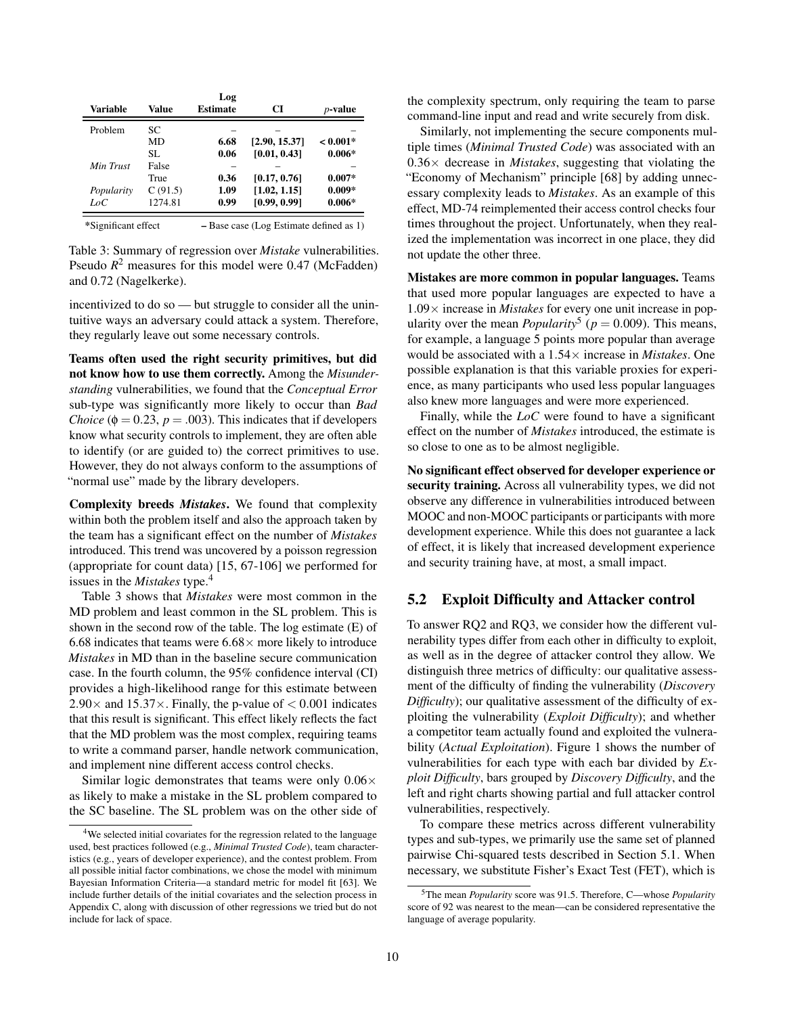<span id="page-9-1"></span>

| Variable            | Value   | Log<br><b>Estimate</b> | CI                                        | <i>p</i> -value |
|---------------------|---------|------------------------|-------------------------------------------|-----------------|
| Problem             | SC      |                        |                                           |                 |
|                     | MD      | 6.68                   | [2.90, 15.37]                             | $< 0.001*$      |
|                     | SL.     | 0.06                   | [0.01, 0.43]                              | $0.006*$        |
| Min Trust           | False   |                        |                                           |                 |
|                     | True    | 0.36                   | [0.17, 0.76]                              | $0.007*$        |
| Popularity          | C(91.5) | 1.09                   | [1.02, 1.15]                              | $0.009*$        |
| LoC                 | 1274.81 | 0.99                   | [0.99, 0.99]                              | $0.006*$        |
| *Significant effect |         |                        | $-$ Base case (Log Estimate defined as 1) |                 |

Table 3: Summary of regression over *Mistake* vulnerabilities. Pseudo  $R^2$  measures for this model were 0.47 (McFadden) and 0.72 (Nagelkerke).

incentivized to do so — but struggle to consider all the unintuitive ways an adversary could attack a system. Therefore, they regularly leave out some necessary controls.

Teams often used the right security primitives, but did not know how to use them correctly. Among the *Misunderstanding* vulnerabilities, we found that the *Conceptual Error* sub-type was significantly more likely to occur than *Bad Choice* ( $\phi = 0.23$ ,  $p = .003$ ). This indicates that if developers know what security controls to implement, they are often able to identify (or are guided to) the correct primitives to use. However, they do not always conform to the assumptions of "normal use" made by the library developers.

Complexity breeds *Mistakes*. We found that complexity within both the problem itself and also the approach taken by the team has a significant effect on the number of *Mistakes* introduced. This trend was uncovered by a poisson regression (appropriate for count data) [\[15,](#page-13-23) 67-106] we performed for issues in the *Mistakes* type.[4](#page-9-0)

Table [3](#page-9-1) shows that *Mistakes* were most common in the MD problem and least common in the SL problem. This is shown in the second row of the table. The log estimate (E) of 6.68 indicates that teams were  $6.68 \times$  more likely to introduce *Mistakes* in MD than in the baseline secure communication case. In the fourth column, the 95% confidence interval (CI) provides a high-likelihood range for this estimate between 2.90 $\times$  and 15.37 $\times$ . Finally, the p-value of  $< 0.001$  indicates that this result is significant. This effect likely reflects the fact that the MD problem was the most complex, requiring teams to write a command parser, handle network communication, and implement nine different access control checks.

Similar logic demonstrates that teams were only  $0.06 \times$ as likely to make a mistake in the SL problem compared to the SC baseline. The SL problem was on the other side of the complexity spectrum, only requiring the team to parse command-line input and read and write securely from disk.

Similarly, not implementing the secure components multiple times (*Minimal Trusted Code*) was associated with an  $0.36 \times$  decrease in *Mistakes*, suggesting that violating the "Economy of Mechanism" principle [\[68\]](#page-15-17) by adding unnecessary complexity leads to *Mistakes*. As an example of this effect, MD-74 reimplemented their access control checks four times throughout the project. Unfortunately, when they realized the implementation was incorrect in one place, they did not update the other three.

Mistakes are more common in popular languages. Teams that used more popular languages are expected to have a 1.09× increase in *Mistakes* for every one unit increase in popularity over the mean *Popularity*<sup>[5](#page-9-2)</sup> ( $p = 0.009$ ). This means, for example, a language 5 points more popular than average would be associated with a 1.54× increase in *Mistakes*. One possible explanation is that this variable proxies for experience, as many participants who used less popular languages also knew more languages and were more experienced.

Finally, while the *LoC* were found to have a significant effect on the number of *Mistakes* introduced, the estimate is so close to one as to be almost negligible.

No significant effect observed for developer experience or security training. Across all vulnerability types, we did not observe any difference in vulnerabilities introduced between MOOC and non-MOOC participants or participants with more development experience. While this does not guarantee a lack of effect, it is likely that increased development experience and security training have, at most, a small impact.

# 5.2 Exploit Difficulty and Attacker control

To answer RQ2 and RQ3, we consider how the different vulnerability types differ from each other in difficulty to exploit, as well as in the degree of attacker control they allow. We distinguish three metrics of difficulty: our qualitative assessment of the difficulty of finding the vulnerability (*Discovery Difficulty*); our qualitative assessment of the difficulty of exploiting the vulnerability (*Exploit Difficulty*); and whether a competitor team actually found and exploited the vulnerability (*Actual Exploitation*). Figure [1](#page-11-0) shows the number of vulnerabilities for each type with each bar divided by *Exploit Difficulty*, bars grouped by *Discovery Difficulty*, and the left and right charts showing partial and full attacker control vulnerabilities, respectively.

To compare these metrics across different vulnerability types and sub-types, we primarily use the same set of planned pairwise Chi-squared tests described in Section [5.1.](#page-8-2) When necessary, we substitute Fisher's Exact Test (FET), which is

<span id="page-9-0"></span><sup>&</sup>lt;sup>4</sup>We selected initial covariates for the regression related to the language used, best practices followed (e.g., *Minimal Trusted Code*), team characteristics (e.g., years of developer experience), and the contest problem. From all possible initial factor combinations, we chose the model with minimum Bayesian Information Criteria—a standard metric for model fit [\[63\]](#page-15-16). We include further details of the initial covariates and the selection process in Appendix [C,](#page-16-0) along with discussion of other regressions we tried but do not include for lack of space.

<span id="page-9-2"></span><sup>5</sup>The mean *Popularity* score was 91.5. Therefore, C—whose *Popularity* score of 92 was nearest to the mean—can be considered representative the language of average popularity.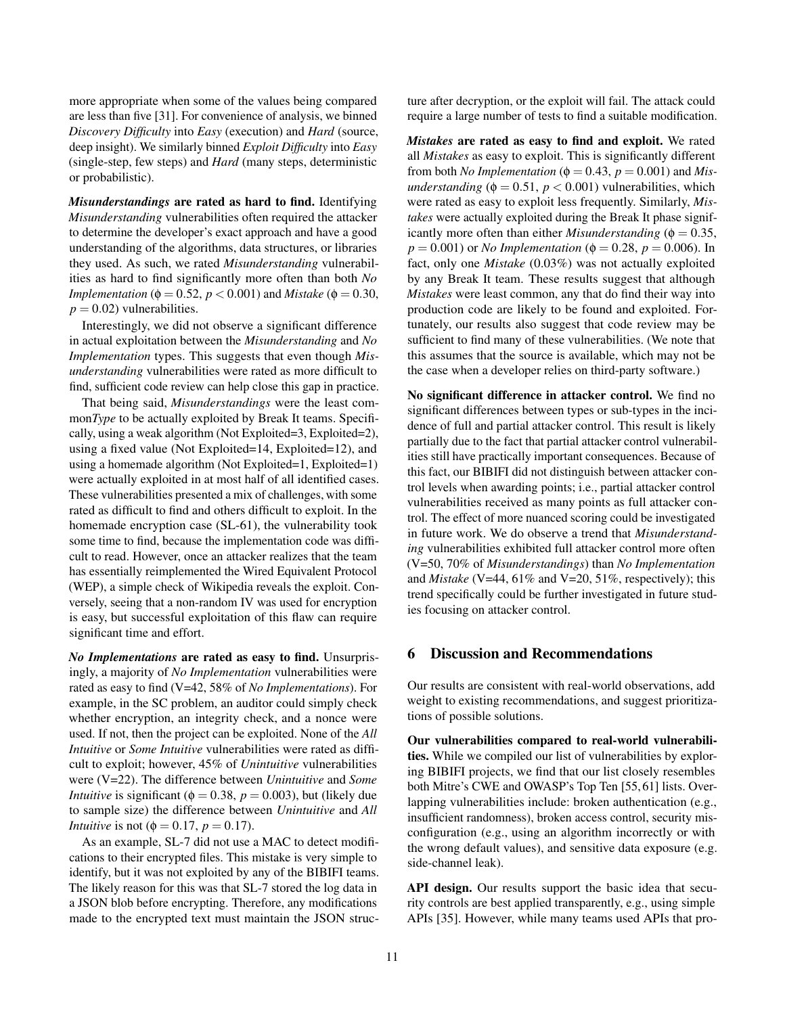more appropriate when some of the values being compared are less than five [\[31\]](#page-14-22). For convenience of analysis, we binned *Discovery Difficulty* into *Easy* (execution) and *Hard* (source, deep insight). We similarly binned *Exploit Difficulty* into *Easy* (single-step, few steps) and *Hard* (many steps, deterministic or probabilistic).

*Misunderstandings* are rated as hard to find. Identifying *Misunderstanding* vulnerabilities often required the attacker to determine the developer's exact approach and have a good understanding of the algorithms, data structures, or libraries they used. As such, we rated *Misunderstanding* vulnerabilities as hard to find significantly more often than both *No Implementation* ( $\phi = 0.52$ ,  $p < 0.001$ ) and *Mistake* ( $\phi = 0.30$ ,  $p = 0.02$ ) vulnerabilities.

Interestingly, we did not observe a significant difference in actual exploitation between the *Misunderstanding* and *No Implementation* types. This suggests that even though *Misunderstanding* vulnerabilities were rated as more difficult to find, sufficient code review can help close this gap in practice.

That being said, *Misunderstandings* were the least common*Type* to be actually exploited by Break It teams. Specifically, using a weak algorithm (Not Exploited=3, Exploited=2), using a fixed value (Not Exploited=14, Exploited=12), and using a homemade algorithm (Not Exploited=1, Exploited=1) were actually exploited in at most half of all identified cases. These vulnerabilities presented a mix of challenges, with some rated as difficult to find and others difficult to exploit. In the homemade encryption case (SL-61), the vulnerability took some time to find, because the implementation code was difficult to read. However, once an attacker realizes that the team has essentially reimplemented the Wired Equivalent Protocol (WEP), a simple check of Wikipedia reveals the exploit. Conversely, seeing that a non-random IV was used for encryption is easy, but successful exploitation of this flaw can require significant time and effort.

*No Implementations* are rated as easy to find. Unsurprisingly, a majority of *No Implementation* vulnerabilities were rated as easy to find (V=42, 58% of *No Implementations*). For example, in the SC problem, an auditor could simply check whether encryption, an integrity check, and a nonce were used. If not, then the project can be exploited. None of the *All Intuitive* or *Some Intuitive* vulnerabilities were rated as difficult to exploit; however, 45% of *Unintuitive* vulnerabilities were (V=22). The difference between *Unintuitive* and *Some Intuitive* is significant ( $\phi = 0.38$ ,  $p = 0.003$ ), but (likely due to sample size) the difference between *Unintuitive* and *All Intuitive* is not ( $\phi = 0.17$ ,  $p = 0.17$ ).

As an example, SL-7 did not use a MAC to detect modifications to their encrypted files. This mistake is very simple to identify, but it was not exploited by any of the BIBIFI teams. The likely reason for this was that SL-7 stored the log data in a JSON blob before encrypting. Therefore, any modifications made to the encrypted text must maintain the JSON struc-

ture after decryption, or the exploit will fail. The attack could require a large number of tests to find a suitable modification.

*Mistakes* are rated as easy to find and exploit. We rated all *Mistakes* as easy to exploit. This is significantly different from both *No Implementation* ( $\phi = 0.43$ ,  $p = 0.001$ ) and *Misunderstanding* ( $\phi = 0.51$ ,  $p < 0.001$ ) vulnerabilities, which were rated as easy to exploit less frequently. Similarly, *Mistakes* were actually exploited during the Break It phase significantly more often than either *Misunderstanding* ( $\phi = 0.35$ ,  $p = 0.001$ ) or *No Implementation* ( $\phi = 0.28$ ,  $p = 0.006$ ). In fact, only one *Mistake* (0.03%) was not actually exploited by any Break It team. These results suggest that although *Mistakes* were least common, any that do find their way into production code are likely to be found and exploited. Fortunately, our results also suggest that code review may be sufficient to find many of these vulnerabilities. (We note that this assumes that the source is available, which may not be the case when a developer relies on third-party software.)

No significant difference in attacker control. We find no significant differences between types or sub-types in the incidence of full and partial attacker control. This result is likely partially due to the fact that partial attacker control vulnerabilities still have practically important consequences. Because of this fact, our BIBIFI did not distinguish between attacker control levels when awarding points; i.e., partial attacker control vulnerabilities received as many points as full attacker control. The effect of more nuanced scoring could be investigated in future work. We do observe a trend that *Misunderstanding* vulnerabilities exhibited full attacker control more often (V=50, 70% of *Misunderstandings*) than *No Implementation* and *Mistake* (V=44, 61% and V=20, 51%, respectively); this trend specifically could be further investigated in future studies focusing on attacker control.

### 6 Discussion and Recommendations

Our results are consistent with real-world observations, add weight to existing recommendations, and suggest prioritizations of possible solutions.

Our vulnerabilities compared to real-world vulnerabilities. While we compiled our list of vulnerabilities by exploring BIBIFI projects, we find that our list closely resembles both Mitre's CWE and OWASP's Top Ten [\[55,](#page-14-23)[61\]](#page-15-18) lists. Overlapping vulnerabilities include: broken authentication (e.g., insufficient randomness), broken access control, security misconfiguration (e.g., using an algorithm incorrectly or with the wrong default values), and sensitive data exposure (e.g. side-channel leak).

API design. Our results support the basic idea that security controls are best applied transparently, e.g., using simple APIs [\[35\]](#page-14-9). However, while many teams used APIs that pro-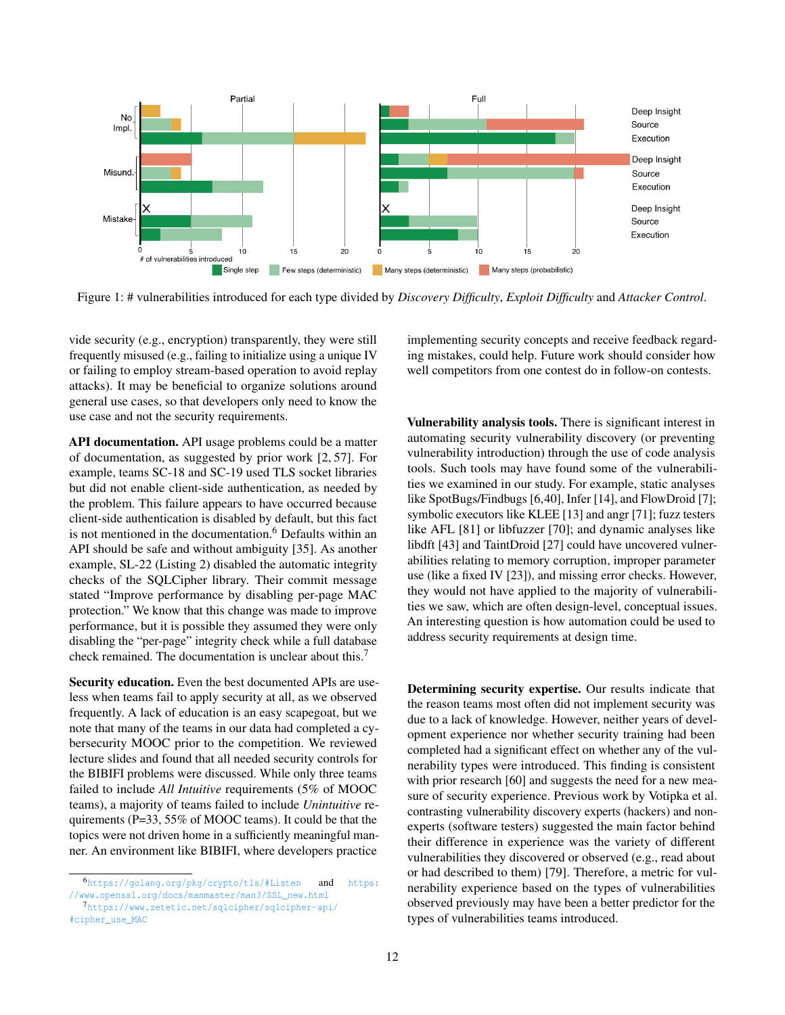<span id="page-11-0"></span>

Figure 1: # vulnerabilities introduced for each type divided by *Discovery Difficulty*, *Exploit Difficulty* and *Attacker Control*.

vide security (e.g., encryption) transparently, they were still frequently misused (e.g., failing to initialize using a unique IV or failing to employ stream-based operation to avoid replay attacks). It may be beneficial to organize solutions around general use cases, so that developers only need to know the use case and not the security requirements.

API documentation. API usage problems could be a matter of documentation, as suggested by prior work [\[2,](#page-13-9) [57\]](#page-14-10). For example, teams SC-18 and SC-19 used TLS socket libraries but did not enable client-side authentication, as needed by the problem. This failure appears to have occurred because client-side authentication is disabled by default, but this fact is not mentioned in the documentation.<sup>[6](#page-11-1)</sup> Defaults within an API should be safe and without ambiguity [\[35\]](#page-14-9). As another example, SL-22 (Listing [2\)](#page-8-0) disabled the automatic integrity checks of the SQLCipher library. Their commit message stated "Improve performance by disabling per-page MAC protection." We know that this change was made to improve performance, but it is possible they assumed they were only disabling the "per-page" integrity check while a full database check remained. The documentation is unclear about this.<sup>[7](#page-11-2)</sup>

Security education. Even the best documented APIs are useless when teams fail to apply security at all, as we observed frequently. A lack of education is an easy scapegoat, but we note that many of the teams in our data had completed a cybersecurity MOOC prior to the competition. We reviewed lecture slides and found that all needed security controls for the BIBIFI problems were discussed. While only three teams failed to include *All Intuitive* requirements (5% of MOOC teams), a majority of teams failed to include *Unintuitive* requirements (P=33, 55% of MOOC teams). It could be that the topics were not driven home in a sufficiently meaningful manner. An environment like BIBIFI, where developers practice

implementing security concepts and receive feedback regarding mistakes, could help. Future work should consider how well competitors from one contest do in follow-on contests.

Vulnerability analysis tools. There is significant interest in automating security vulnerability discovery (or preventing vulnerability introduction) through the use of code analysis tools. Such tools may have found some of the vulnerabilities we examined in our study. For example, static analyses like SpotBugs/Findbugs [\[6,](#page-13-10)[40\]](#page-14-13), Infer [\[14\]](#page-13-13), and FlowDroid [\[7\]](#page-13-11); symbolic executors like KLEE [\[13\]](#page-13-12) and angr [\[71\]](#page-15-9); fuzz testers like AFL [\[81\]](#page-15-10) or libfuzzer [\[70\]](#page-15-8); and dynamic analyses like libdft [\[43\]](#page-14-14) and TaintDroid [\[27\]](#page-14-11) could have uncovered vulnerabilities relating to memory corruption, improper parameter use (like a fixed IV [\[23\]](#page-13-14)), and missing error checks. However, they would not have applied to the majority of vulnerabilities we saw, which are often design-level, conceptual issues. An interesting question is how automation could be used to address security requirements at design time.

Determining security expertise. Our results indicate that the reason teams most often did not implement security was due to a lack of knowledge. However, neither years of development experience nor whether security training had been completed had a significant effect on whether any of the vulnerability types were introduced. This finding is consistent with prior research [\[60\]](#page-15-19) and suggests the need for a new measure of security experience. Previous work by Votipka et al. contrasting vulnerability discovery experts (hackers) and nonexperts (software testers) suggested the main factor behind their difference in experience was the variety of different vulnerabilities they discovered or observed (e.g., read about or had described to them) [\[79\]](#page-15-20). Therefore, a metric for vulnerability experience based on the types of vulnerabilities observed previously may have been a better predictor for the types of vulnerabilities teams introduced.

<span id="page-11-1"></span><sup>6</sup><https://golang.org/pkg/crypto/tls/#Listen> and [https:](https://www.openssl.org/docs/manmaster/man3/SSL_new.html) [//www.openssl.org/docs/manmaster/man3/SSL\\_new.html](https://www.openssl.org/docs/manmaster/man3/SSL_new.html)

<span id="page-11-2"></span><sup>7</sup>[https://www.zetetic.net/sqlcipher/sqlcipher-api/](https://www.zetetic.net/sqlcipher/sqlcipher-api/#cipher_use_MAC) [#cipher\\_use\\_MAC](https://www.zetetic.net/sqlcipher/sqlcipher-api/#cipher_use_MAC)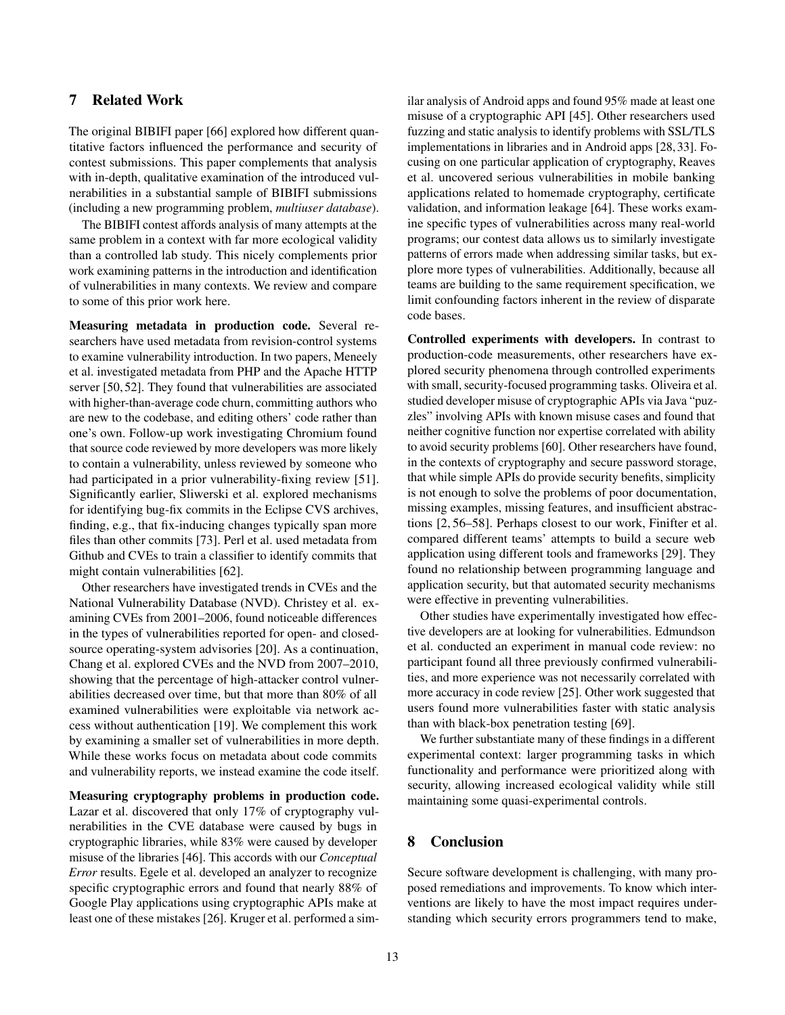# 7 Related Work

The original BIBIFI paper [\[66\]](#page-15-7) explored how different quantitative factors influenced the performance and security of contest submissions. This paper complements that analysis with in-depth, qualitative examination of the introduced vulnerabilities in a substantial sample of BIBIFI submissions (including a new programming problem, *multiuser database*).

The BIBIFI contest affords analysis of many attempts at the same problem in a context with far more ecological validity than a controlled lab study. This nicely complements prior work examining patterns in the introduction and identification of vulnerabilities in many contexts. We review and compare to some of this prior work here.

Measuring metadata in production code. Several researchers have used metadata from revision-control systems to examine vulnerability introduction. In two papers, Meneely et al. investigated metadata from PHP and the Apache HTTP server [\[50,](#page-14-24) [52\]](#page-14-25). They found that vulnerabilities are associated with higher-than-average code churn, committing authors who are new to the codebase, and editing others' code rather than one's own. Follow-up work investigating Chromium found that source code reviewed by more developers was more likely to contain a vulnerability, unless reviewed by someone who had participated in a prior vulnerability-fixing review [\[51\]](#page-14-26). Significantly earlier, Sliwerski et al. explored mechanisms for identifying bug-fix commits in the Eclipse CVS archives, finding, e.g., that fix-inducing changes typically span more files than other commits [\[73\]](#page-15-21). Perl et al. used metadata from Github and CVEs to train a classifier to identify commits that might contain vulnerabilities [\[62\]](#page-15-22).

Other researchers have investigated trends in CVEs and the National Vulnerability Database (NVD). Christey et al. examining CVEs from 2001–2006, found noticeable differences in the types of vulnerabilities reported for open- and closedsource operating-system advisories [\[20\]](#page-13-1). As a continuation, Chang et al. explored CVEs and the NVD from 2007–2010, showing that the percentage of high-attacker control vulnerabilities decreased over time, but that more than 80% of all examined vulnerabilities were exploitable via network access without authentication [\[19\]](#page-13-0). We complement this work by examining a smaller set of vulnerabilities in more depth. While these works focus on metadata about code commits and vulnerability reports, we instead examine the code itself.

Measuring cryptography problems in production code. Lazar et al. discovered that only 17% of cryptography vulnerabilities in the CVE database were caused by bugs in cryptographic libraries, while 83% were caused by developer misuse of the libraries [\[46\]](#page-14-27). This accords with our *Conceptual Error* results. Egele et al. developed an analyzer to recognize specific cryptographic errors and found that nearly 88% of Google Play applications using cryptographic APIs make at least one of these mistakes [\[26\]](#page-14-28). Kruger et al. performed a similar analysis of Android apps and found 95% made at least one misuse of a cryptographic API [\[45\]](#page-14-29). Other researchers used fuzzing and static analysis to identify problems with SSL/TLS implementations in libraries and in Android apps [\[28,](#page-14-30)[33\]](#page-14-31). Focusing on one particular application of cryptography, Reaves et al. uncovered serious vulnerabilities in mobile banking applications related to homemade cryptography, certificate validation, and information leakage [\[64\]](#page-15-23). These works examine specific types of vulnerabilities across many real-world programs; our contest data allows us to similarly investigate patterns of errors made when addressing similar tasks, but explore more types of vulnerabilities. Additionally, because all teams are building to the same requirement specification, we limit confounding factors inherent in the review of disparate code bases.

Controlled experiments with developers. In contrast to production-code measurements, other researchers have explored security phenomena through controlled experiments with small, security-focused programming tasks. Oliveira et al. studied developer misuse of cryptographic APIs via Java "puzzles" involving APIs with known misuse cases and found that neither cognitive function nor expertise correlated with ability to avoid security problems [\[60\]](#page-15-19). Other researchers have found, in the contexts of cryptography and secure password storage, that while simple APIs do provide security benefits, simplicity is not enough to solve the problems of poor documentation, missing examples, missing features, and insufficient abstractions [\[2,](#page-13-9) [56](#page-14-15)[–58\]](#page-14-16). Perhaps closest to our work, Finifter et al. compared different teams' attempts to build a secure web application using different tools and frameworks [\[29\]](#page-14-32). They found no relationship between programming language and application security, but that automated security mechanisms were effective in preventing vulnerabilities.

Other studies have experimentally investigated how effective developers are at looking for vulnerabilities. Edmundson et al. conducted an experiment in manual code review: no participant found all three previously confirmed vulnerabilities, and more experience was not necessarily correlated with more accuracy in code review [\[25\]](#page-14-33). Other work suggested that users found more vulnerabilities faster with static analysis than with black-box penetration testing [\[69\]](#page-15-24).

We further substantiate many of these findings in a different experimental context: larger programming tasks in which functionality and performance were prioritized along with security, allowing increased ecological validity while still maintaining some quasi-experimental controls.

### 8 Conclusion

Secure software development is challenging, with many proposed remediations and improvements. To know which interventions are likely to have the most impact requires understanding which security errors programmers tend to make,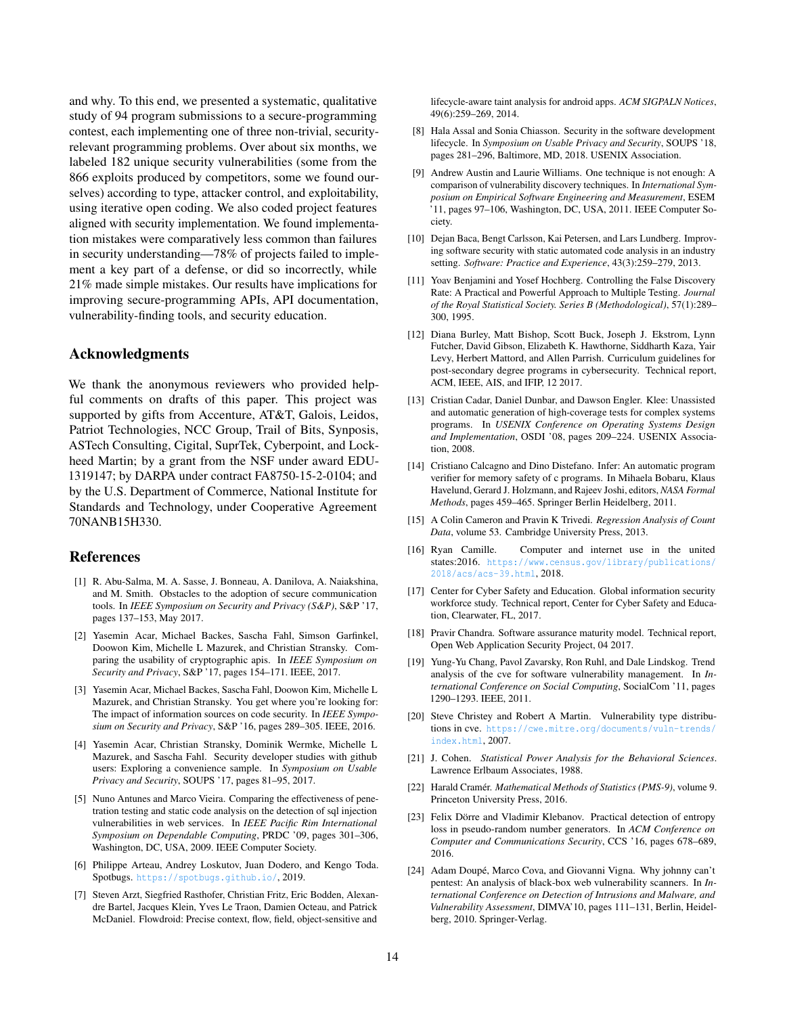and why. To this end, we presented a systematic, qualitative study of 94 program submissions to a secure-programming contest, each implementing one of three non-trivial, securityrelevant programming problems. Over about six months, we labeled 182 unique security vulnerabilities (some from the 866 exploits produced by competitors, some we found ourselves) according to type, attacker control, and exploitability, using iterative open coding. We also coded project features aligned with security implementation. We found implementation mistakes were comparatively less common than failures in security understanding—78% of projects failed to implement a key part of a defense, or did so incorrectly, while 21% made simple mistakes. Our results have implications for improving secure-programming APIs, API documentation, vulnerability-finding tools, and security education.

### Acknowledgments

We thank the anonymous reviewers who provided helpful comments on drafts of this paper. This project was supported by gifts from Accenture, AT&T, Galois, Leidos, Patriot Technologies, NCC Group, Trail of Bits, Synposis, ASTech Consulting, Cigital, SuprTek, Cyberpoint, and Lockheed Martin; by a grant from the NSF under award EDU-1319147; by DARPA under contract FA8750-15-2-0104; and by the U.S. Department of Commerce, National Institute for Standards and Technology, under Cooperative Agreement 70NANB15H330.

### References

- <span id="page-13-20"></span>[1] R. Abu-Salma, M. A. Sasse, J. Bonneau, A. Danilova, A. Naiakshina, and M. Smith. Obstacles to the adoption of secure communication tools. In *IEEE Symposium on Security and Privacy (S&P)*, S&P '17, pages 137–153, May 2017.
- <span id="page-13-9"></span>[2] Yasemin Acar, Michael Backes, Sascha Fahl, Simson Garfinkel, Doowon Kim, Michelle L Mazurek, and Christian Stransky. Comparing the usability of cryptographic apis. In *IEEE Symposium on Security and Privacy*, S&P '17, pages 154–171. IEEE, 2017.
- <span id="page-13-15"></span>[3] Yasemin Acar, Michael Backes, Sascha Fahl, Doowon Kim, Michelle L Mazurek, and Christian Stransky. You get where you're looking for: The impact of information sources on code security. In *IEEE Symposium on Security and Privacy*, S&P '16, pages 289–305. IEEE, 2016.
- <span id="page-13-16"></span>[4] Yasemin Acar, Christian Stransky, Dominik Wermke, Michelle L Mazurek, and Sascha Fahl. Security developer studies with github users: Exploring a convenience sample. In *Symposium on Usable Privacy and Security*, SOUPS '17, pages 81–95, 2017.
- <span id="page-13-2"></span>[5] Nuno Antunes and Marco Vieira. Comparing the effectiveness of penetration testing and static code analysis on the detection of sql injection vulnerabilities in web services. In *IEEE Pacific Rim International Symposium on Dependable Computing*, PRDC '09, pages 301–306, Washington, DC, USA, 2009. IEEE Computer Society.
- <span id="page-13-10"></span>[6] Philippe Arteau, Andrey Loskutov, Juan Dodero, and Kengo Toda. Spotbugs. <https://spotbugs.github.io/>, 2019.
- <span id="page-13-11"></span>[7] Steven Arzt, Siegfried Rasthofer, Christian Fritz, Eric Bodden, Alexandre Bartel, Jacques Klein, Yves Le Traon, Damien Octeau, and Patrick McDaniel. Flowdroid: Precise context, flow, field, object-sensitive and

lifecycle-aware taint analysis for android apps. *ACM SIGPALN Notices*, 49(6):259–269, 2014.

- <span id="page-13-17"></span>[8] Hala Assal and Sonia Chiasson. Security in the software development lifecycle. In *Symposium on Usable Privacy and Security*, SOUPS '18, pages 281–296, Baltimore, MD, 2018. USENIX Association.
- <span id="page-13-3"></span>[9] Andrew Austin and Laurie Williams. One technique is not enough: A comparison of vulnerability discovery techniques. In *International Symposium on Empirical Software Engineering and Measurement*, ESEM '11, pages 97–106, Washington, DC, USA, 2011. IEEE Computer Society.
- <span id="page-13-4"></span>[10] Dejan Baca, Bengt Carlsson, Kai Petersen, and Lars Lundberg. Improving software security with static automated code analysis in an industry setting. *Software: Practice and Experience*, 43(3):259–279, 2013.
- <span id="page-13-21"></span>[11] Yoav Benjamini and Yosef Hochberg. Controlling the False Discovery Rate: A Practical and Powerful Approach to Multiple Testing. *Journal of the Royal Statistical Society. Series B (Methodological)*, 57(1):289– 300, 1995.
- <span id="page-13-18"></span>[12] Diana Burley, Matt Bishop, Scott Buck, Joseph J. Ekstrom, Lynn Futcher, David Gibson, Elizabeth K. Hawthorne, Siddharth Kaza, Yair Levy, Herbert Mattord, and Allen Parrish. Curriculum guidelines for post-secondary degree programs in cybersecurity. Technical report, ACM, IEEE, AIS, and IFIP, 12 2017.
- <span id="page-13-12"></span>[13] Cristian Cadar, Daniel Dunbar, and Dawson Engler. Klee: Unassisted and automatic generation of high-coverage tests for complex systems programs. In *USENIX Conference on Operating Systems Design and Implementation*, OSDI '08, pages 209–224. USENIX Association, 2008.
- <span id="page-13-13"></span>[14] Cristiano Calcagno and Dino Distefano. Infer: An automatic program verifier for memory safety of c programs. In Mihaela Bobaru, Klaus Havelund, Gerard J. Holzmann, and Rajeev Joshi, editors, *NASA Formal Methods*, pages 459–465. Springer Berlin Heidelberg, 2011.
- <span id="page-13-23"></span>[15] A Colin Cameron and Pravin K Trivedi. *Regression Analysis of Count Data*, volume 53. Cambridge University Press, 2013.
- <span id="page-13-8"></span>[16] Ryan Camille. Computer and internet use in the united states: 2016. [https://www.census.gov/library/publications/](https://www.census.gov/library/publications/2018/acs/acs-39.html) [2018/acs/acs-39.html](https://www.census.gov/library/publications/2018/acs/acs-39.html), 2018.
- <span id="page-13-6"></span>[17] Center for Cyber Safety and Education. Global information security workforce study. Technical report, Center for Cyber Safety and Education, Clearwater, FL, 2017.
- <span id="page-13-7"></span>[18] Pravir Chandra. Software assurance maturity model. Technical report, Open Web Application Security Project, 04 2017.
- <span id="page-13-0"></span>[19] Yung-Yu Chang, Pavol Zavarsky, Ron Ruhl, and Dale Lindskog. Trend analysis of the cve for software vulnerability management. In *International Conference on Social Computing*, SocialCom '11, pages 1290–1293. IEEE, 2011.
- <span id="page-13-1"></span>[20] Steve Christey and Robert A Martin. Vulnerability type distributions in cve. [https://cwe.mitre.org/documents/vuln-trends/](https://cwe.mitre.org/documents/vuln-trends/index.html) [index.html](https://cwe.mitre.org/documents/vuln-trends/index.html), 2007.
- <span id="page-13-19"></span>[21] J. Cohen. *Statistical Power Analysis for the Behavioral Sciences*. Lawrence Erlbaum Associates, 1988.
- <span id="page-13-22"></span>[22] Harald Cramér. *Mathematical Methods of Statistics (PMS-9)*, volume 9. Princeton University Press, 2016.
- <span id="page-13-14"></span>[23] Felix Dörre and Vladimir Klebanov. Practical detection of entropy loss in pseudo-random number generators. In *ACM Conference on Computer and Communications Security*, CCS '16, pages 678–689, 2016.
- <span id="page-13-5"></span>[24] Adam Doupé, Marco Cova, and Giovanni Vigna. Why johnny can't pentest: An analysis of black-box web vulnerability scanners. In *International Conference on Detection of Intrusions and Malware, and Vulnerability Assessment*, DIMVA'10, pages 111–131, Berlin, Heidelberg, 2010. Springer-Verlag.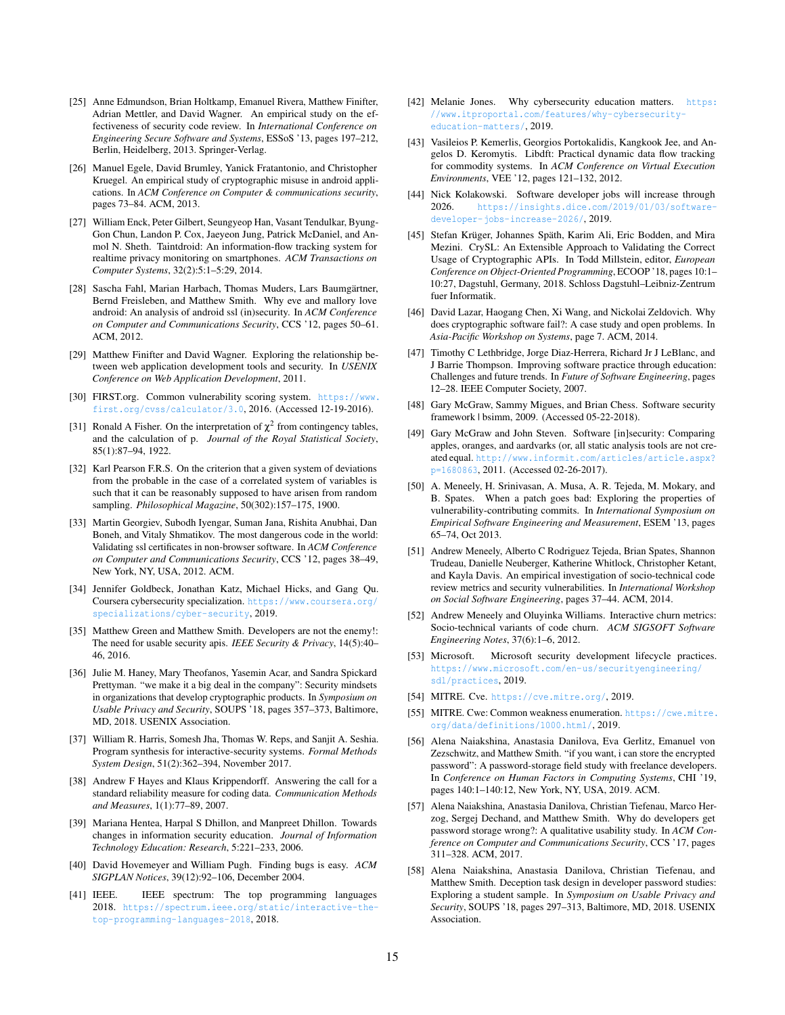- <span id="page-14-33"></span>[25] Anne Edmundson, Brian Holtkamp, Emanuel Rivera, Matthew Finifter, Adrian Mettler, and David Wagner. An empirical study on the effectiveness of security code review. In *International Conference on Engineering Secure Software and Systems*, ESSoS '13, pages 197–212, Berlin, Heidelberg, 2013. Springer-Verlag.
- <span id="page-14-28"></span>[26] Manuel Egele, David Brumley, Yanick Fratantonio, and Christopher Kruegel. An empirical study of cryptographic misuse in android applications. In *ACM Conference on Computer & communications security*, pages 73–84. ACM, 2013.
- <span id="page-14-11"></span>[27] William Enck, Peter Gilbert, Seungyeop Han, Vasant Tendulkar, Byung-Gon Chun, Landon P. Cox, Jaeyeon Jung, Patrick McDaniel, and Anmol N. Sheth. Taintdroid: An information-flow tracking system for realtime privacy monitoring on smartphones. *ACM Transactions on Computer Systems*, 32(2):5:1–5:29, 2014.
- <span id="page-14-30"></span>[28] Sascha Fahl, Marian Harbach, Thomas Muders, Lars Baumgärtner, Bernd Freisleben, and Matthew Smith. Why eve and mallory love android: An analysis of android ssl (in)security. In *ACM Conference on Computer and Communications Security*, CCS '12, pages 50–61. ACM, 2012.
- <span id="page-14-32"></span>[29] Matthew Finifter and David Wagner. Exploring the relationship between web application development tools and security. In *USENIX Conference on Web Application Development*, 2011.
- <span id="page-14-18"></span>[30] FIRST.org. Common vulnerability scoring system. [https://www.](https://www.first.org/cvss/calculator/3.0) [first.org/cvss/calculator/3.0](https://www.first.org/cvss/calculator/3.0), 2016. (Accessed 12-19-2016).
- <span id="page-14-22"></span>[31] Ronald A Fisher. On the interpretation of  $\chi^2$  from contingency tables, and the calculation of p. *Journal of the Royal Statistical Society*, 85(1):87–94, 1922.
- <span id="page-14-21"></span>[32] Karl Pearson F.R.S. On the criterion that a given system of deviations from the probable in the case of a correlated system of variables is such that it can be reasonably supposed to have arisen from random sampling. *Philosophical Magazine*, 50(302):157–175, 1900.
- <span id="page-14-31"></span>[33] Martin Georgiev, Subodh Iyengar, Suman Jana, Rishita Anubhai, Dan Boneh, and Vitaly Shmatikov. The most dangerous code in the world: Validating ssl certificates in non-browser software. In *ACM Conference on Computer and Communications Security*, CCS '12, pages 38–49, New York, NY, USA, 2012. ACM.
- <span id="page-14-8"></span>[34] Jennifer Goldbeck, Jonathan Katz, Michael Hicks, and Gang Qu. Coursera cybersecurity specialization. [https://www.coursera.org/](https://www.coursera.org/specializations/cyber-security) [specializations/cyber-security](https://www.coursera.org/specializations/cyber-security), 2019.
- <span id="page-14-9"></span>[35] Matthew Green and Matthew Smith. Developers are not the enemy!: The need for usable security apis. *IEEE Security & Privacy*, 14(5):40– 46, 2016.
- <span id="page-14-17"></span>[36] Julie M. Haney, Mary Theofanos, Yasemin Acar, and Sandra Spickard Prettyman. "we make it a big deal in the company": Security mindsets in organizations that develop cryptographic products. In *Symposium on Usable Privacy and Security*, SOUPS '18, pages 357–373, Baltimore, MD, 2018. USENIX Association.
- <span id="page-14-12"></span>[37] William R. Harris, Somesh Jha, Thomas W. Reps, and Sanjit A. Seshia. Program synthesis for interactive-security systems. *Formal Methods System Design*, 51(2):362–394, November 2017.
- <span id="page-14-19"></span>[38] Andrew F Hayes and Klaus Krippendorff. Answering the call for a standard reliability measure for coding data. *Communication Methods and Measures*, 1(1):77–89, 2007.
- <span id="page-14-2"></span>[39] Mariana Hentea, Harpal S Dhillon, and Manpreet Dhillon. Towards changes in information security education. *Journal of Information Technology Education: Research*, 5:221–233, 2006.
- <span id="page-14-13"></span>[40] David Hovemeyer and William Pugh. Finding bugs is easy. *ACM SIGPLAN Notices*, 39(12):92–106, December 2004.
- <span id="page-14-20"></span>[41] IEEE. IEEE spectrum: The top programming languages 2018. [https://spectrum.ieee.org/static/interactive-the](https://spectrum.ieee.org/static/interactive-the-top-programming-languages-2018)[top-programming-languages-2018](https://spectrum.ieee.org/static/interactive-the-top-programming-languages-2018), 2018.
- <span id="page-14-3"></span>[42] Melanie Jones. Why cybersecurity education matters. [https:](https://www.itproportal.com/features/why-cybersecurity-education-matters/) [//www.itproportal.com/features/why-cybersecurity](https://www.itproportal.com/features/why-cybersecurity-education-matters/)[education-matters/](https://www.itproportal.com/features/why-cybersecurity-education-matters/), 2019.
- <span id="page-14-14"></span>[43] Vasileios P. Kemerlis, Georgios Portokalidis, Kangkook Jee, and Angelos D. Keromytis. Libdft: Practical dynamic data flow tracking for commodity systems. In *ACM Conference on Virtual Execution Environments*, VEE '12, pages 121–132, 2012.
- <span id="page-14-7"></span>[44] Nick Kolakowski. Software developer jobs will increase through 2026. [https://insights.dice.com/2019/01/03/software](https://insights.dice.com/2019/01/03/software-developer-jobs-increase-2026/)[developer-jobs-increase-2026/](https://insights.dice.com/2019/01/03/software-developer-jobs-increase-2026/), 2019.
- <span id="page-14-29"></span>[45] Stefan Krüger, Johannes Späth, Karim Ali, Eric Bodden, and Mira Mezini. CrySL: An Extensible Approach to Validating the Correct Usage of Cryptographic APIs. In Todd Millstein, editor, *European Conference on Object-Oriented Programming*, ECOOP '18, pages 10:1– 10:27, Dagstuhl, Germany, 2018. Schloss Dagstuhl–Leibniz-Zentrum fuer Informatik.
- <span id="page-14-27"></span>[46] David Lazar, Haogang Chen, Xi Wang, and Nickolai Zeldovich. Why does cryptographic software fail?: A case study and open problems. In *Asia-Pacific Workshop on Systems*, page 7. ACM, 2014.
- <span id="page-14-4"></span>[47] Timothy C Lethbridge, Jorge Diaz-Herrera, Richard Jr J LeBlanc, and J Barrie Thompson. Improving software practice through education: Challenges and future trends. In *Future of Software Engineering*, pages 12–28. IEEE Computer Society, 2007.
- <span id="page-14-5"></span>[48] Gary McGraw, Sammy Migues, and Brian Chess. Software security framework | bsimm, 2009. (Accessed 05-22-2018).
- <span id="page-14-1"></span>[49] Gary McGraw and John Steven. Software [in]security: Comparing apples, oranges, and aardvarks (or, all static analysis tools are not created equal. [http://www.informit.com/articles/article.aspx?](http://www.informit.com/articles/article.aspx?p=1680863) [p=1680863](http://www.informit.com/articles/article.aspx?p=1680863), 2011. (Accessed 02-26-2017).
- <span id="page-14-24"></span>[50] A. Meneely, H. Srinivasan, A. Musa, A. R. Tejeda, M. Mokary, and B. Spates. When a patch goes bad: Exploring the properties of vulnerability-contributing commits. In *International Symposium on Empirical Software Engineering and Measurement*, ESEM '13, pages 65–74, Oct 2013.
- <span id="page-14-26"></span>[51] Andrew Meneely, Alberto C Rodriguez Tejeda, Brian Spates, Shannon Trudeau, Danielle Neuberger, Katherine Whitlock, Christopher Ketant, and Kayla Davis. An empirical investigation of socio-technical code review metrics and security vulnerabilities. In *International Workshop on Social Software Engineering*, pages 37–44. ACM, 2014.
- <span id="page-14-25"></span>[52] Andrew Meneely and Oluyinka Williams. Interactive churn metrics: Socio-technical variants of code churn. *ACM SIGSOFT Software Engineering Notes*, 37(6):1–6, 2012.
- <span id="page-14-6"></span>[53] Microsoft. Microsoft security development lifecycle practices. [https://www.microsoft.com/en-us/securityengineering/](https://www.microsoft.com/en-us/securityengineering/sdl/practices) [sdl/practices](https://www.microsoft.com/en-us/securityengineering/sdl/practices), 2019.
- <span id="page-14-0"></span>[54] MITRE. Cve. <https://cve.mitre.org/>, 2019.
- <span id="page-14-23"></span>[55] MITRE. Cwe: Common weakness enumeration. [https://cwe.mitre.](https://cwe.mitre.org/data/definitions/1000.html/) [org/data/definitions/1000.html/](https://cwe.mitre.org/data/definitions/1000.html/), 2019.
- <span id="page-14-15"></span>[56] Alena Naiakshina, Anastasia Danilova, Eva Gerlitz, Emanuel von Zezschwitz, and Matthew Smith. "if you want, i can store the encrypted password": A password-storage field study with freelance developers. In *Conference on Human Factors in Computing Systems*, CHI '19, pages 140:1–140:12, New York, NY, USA, 2019. ACM.
- <span id="page-14-10"></span>[57] Alena Naiakshina, Anastasia Danilova, Christian Tiefenau, Marco Herzog, Sergej Dechand, and Matthew Smith. Why do developers get password storage wrong?: A qualitative usability study. In *ACM Conference on Computer and Communications Security*, CCS '17, pages 311–328. ACM, 2017.
- <span id="page-14-16"></span>[58] Alena Naiakshina, Anastasia Danilova, Christian Tiefenau, and Matthew Smith. Deception task design in developer password studies: Exploring a student sample. In *Symposium on Usable Privacy and Security*, SOUPS '18, pages 297–313, Baltimore, MD, 2018. USENIX Association.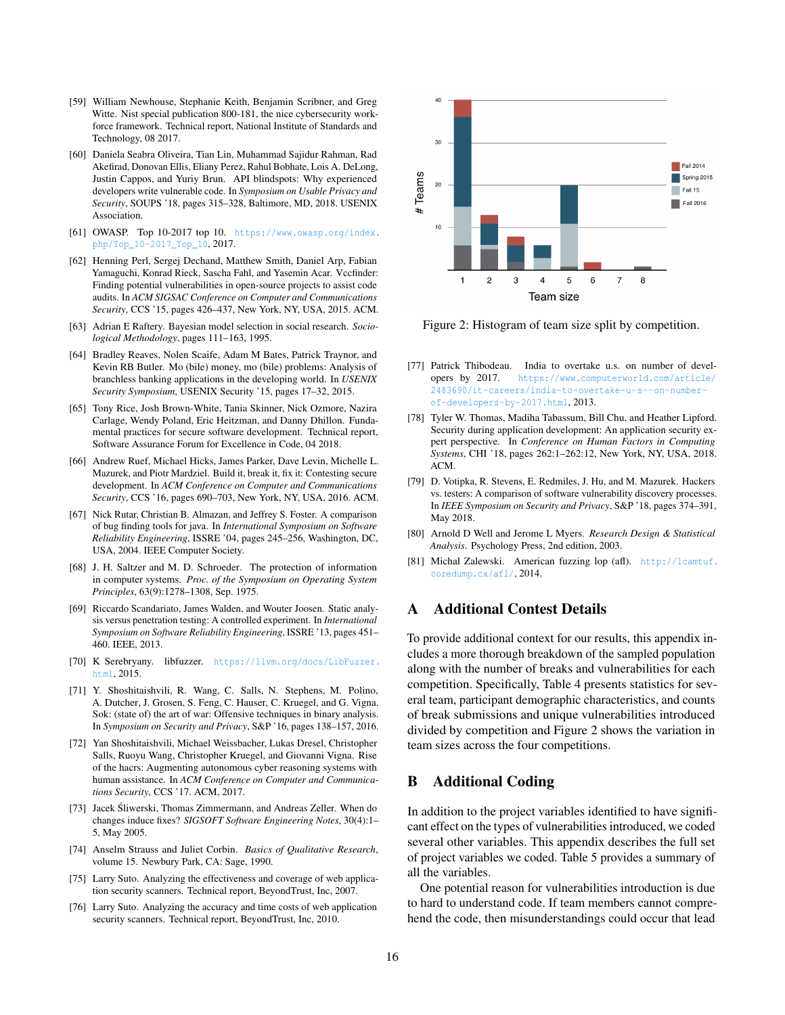- <span id="page-15-4"></span>[59] William Newhouse, Stephanie Keith, Benjamin Scribner, and Greg Witte. Nist special publication 800-181, the nice cybersecurity workforce framework. Technical report, National Institute of Standards and Technology, 08 2017.
- <span id="page-15-19"></span>[60] Daniela Seabra Oliveira, Tian Lin, Muhammad Sajidur Rahman, Rad Akefirad, Donovan Ellis, Eliany Perez, Rahul Bobhate, Lois A. DeLong, Justin Cappos, and Yuriy Brun. API blindspots: Why experienced developers write vulnerable code. In *Symposium on Usable Privacy and Security*, SOUPS '18, pages 315–328, Baltimore, MD, 2018. USENIX Association.
- <span id="page-15-18"></span>[61] OWASP. Top 10-2017 top 10. [https://www.owasp.org/index.](https://www.owasp.org/index.php/Top_10-2017_Top_10) [php/Top\\_10-2017\\_Top\\_10](https://www.owasp.org/index.php/Top_10-2017_Top_10), 2017.
- <span id="page-15-22"></span>[62] Henning Perl, Sergej Dechand, Matthew Smith, Daniel Arp, Fabian Yamaguchi, Konrad Rieck, Sascha Fahl, and Yasemin Acar. Vccfinder: Finding potential vulnerabilities in open-source projects to assist code audits. In *ACM SIGSAC Conference on Computer and Communications Security*, CCS '15, pages 426–437, New York, NY, USA, 2015. ACM.
- <span id="page-15-16"></span>[63] Adrian E Raftery. Bayesian model selection in social research. *Sociological Methodology*, pages 111–163, 1995.
- <span id="page-15-23"></span>[64] Bradley Reaves, Nolen Scaife, Adam M Bates, Patrick Traynor, and Kevin RB Butler. Mo (bile) money, mo (bile) problems: Analysis of branchless banking applications in the developing world. In *USENIX Security Symposium*, USENIX Security '15, pages 17–32, 2015.
- <span id="page-15-5"></span>[65] Tony Rice, Josh Brown-White, Tania Skinner, Nick Ozmore, Nazira Carlage, Wendy Poland, Eric Heitzman, and Danny Dhillon. Fundamental practices for secure software development. Technical report, Software Assurance Forum for Excellence in Code, 04 2018.
- <span id="page-15-7"></span>[66] Andrew Ruef, Michael Hicks, James Parker, Dave Levin, Michelle L. Mazurek, and Piotr Mardziel. Build it, break it, fix it: Contesting secure development. In *ACM Conference on Computer and Communications Security*, CCS '16, pages 690–703, New York, NY, USA, 2016. ACM.
- <span id="page-15-0"></span>[67] Nick Rutar, Christian B. Almazan, and Jeffrey S. Foster. A comparison of bug finding tools for java. In *International Symposium on Software Reliability Engineering*, ISSRE '04, pages 245–256, Washington, DC, USA, 2004. IEEE Computer Society.
- <span id="page-15-17"></span>[68] J. H. Saltzer and M. D. Schroeder. The protection of information in computer systems. *Proc. of the Symposium on Operating System Principles*, 63(9):1278–1308, Sep. 1975.
- <span id="page-15-24"></span>[69] Riccardo Scandariato, James Walden, and Wouter Joosen. Static analysis versus penetration testing: A controlled experiment. In *International Symposium on Software Reliability Engineering*, ISSRE '13, pages 451– 460. IEEE, 2013.
- <span id="page-15-8"></span>[70] K Serebryany. libfuzzer. [https://llvm.org/docs/LibFuzzer.](https://llvm.org/docs/LibFuzzer.html) [html](https://llvm.org/docs/LibFuzzer.html), 2015.
- <span id="page-15-9"></span>[71] Y. Shoshitaishvili, R. Wang, C. Salls, N. Stephens, M. Polino, A. Dutcher, J. Grosen, S. Feng, C. Hauser, C. Kruegel, and G. Vigna. Sok: (state of) the art of war: Offensive techniques in binary analysis. In *Symposium on Security and Privacy*, S&P '16, pages 138–157, 2016.
- <span id="page-15-1"></span>[72] Yan Shoshitaishvili, Michael Weissbacher, Lukas Dresel, Christopher Salls, Ruoyu Wang, Christopher Kruegel, and Giovanni Vigna. Rise of the hacrs: Augmenting autonomous cyber reasoning systems with human assistance. In *ACM Conference on Computer and Communications Security*, CCS '17. ACM, 2017.
- <span id="page-15-21"></span>[73] Jacek Śliwerski, Thomas Zimmermann, and Andreas Zeller. When do changes induce fixes? *SIGSOFT Software Engineering Notes*, 30(4):1– 5, May 2005.
- <span id="page-15-13"></span>[74] Anselm Strauss and Juliet Corbin. *Basics of Qualitative Research*, volume 15. Newbury Park, CA: Sage, 1990.
- <span id="page-15-2"></span>[75] Larry Suto. Analyzing the effectiveness and coverage of web application security scanners. Technical report, BeyondTrust, Inc, 2007.
- <span id="page-15-3"></span>[76] Larry Suto. Analyzing the accuracy and time costs of web application security scanners. Technical report, BeyondTrust, Inc, 2010.

<span id="page-15-25"></span>

Figure 2: Histogram of team size split by competition.

- <span id="page-15-6"></span>[77] Patrick Thibodeau. India to overtake u.s. on number of developers by 2017. [https://www.computerworld.com/article/](https://www.computerworld.com/article/2483690/it-careers/india-to-overtake-u-s--on-number-of-developers-by-2017.html) [2483690/it-careers/india-to-overtake-u-s--on-number](https://www.computerworld.com/article/2483690/it-careers/india-to-overtake-u-s--on-number-of-developers-by-2017.html)[of-developers-by-2017.html](https://www.computerworld.com/article/2483690/it-careers/india-to-overtake-u-s--on-number-of-developers-by-2017.html), 2013.
- <span id="page-15-12"></span>[78] Tyler W. Thomas, Madiha Tabassum, Bill Chu, and Heather Lipford. Security during application development: An application security expert perspective. In *Conference on Human Factors in Computing Systems*, CHI '18, pages 262:1–262:12, New York, NY, USA, 2018. ACM.
- <span id="page-15-20"></span>[79] D. Votipka, R. Stevens, E. Redmiles, J. Hu, and M. Mazurek. Hackers vs. testers: A comparison of software vulnerability discovery processes. In *IEEE Symposium on Security and Privacy*, S&P '18, pages 374–391, May 2018.
- <span id="page-15-15"></span>[80] Arnold D Well and Jerome L Myers. *Research Design & Statistical Analysis*. Psychology Press, 2nd edition, 2003.
- <span id="page-15-10"></span>[81] Michal Zalewski. American fuzzing lop (afl). [http://lcamtuf.](http://lcamtuf.coredump.cx/afl/) [coredump.cx/afl/](http://lcamtuf.coredump.cx/afl/), 2014.

### <span id="page-15-11"></span>A Additional Contest Details

To provide additional context for our results, this appendix includes a more thorough breakdown of the sampled population along with the number of breaks and vulnerabilities for each competition. Specifically, Table [4](#page-16-1) presents statistics for several team, participant demographic characteristics, and counts of break submissions and unique vulnerabilities introduced divided by competition and Figure [2](#page-15-25) shows the variation in team sizes across the four competitions.

### <span id="page-15-14"></span>B Additional Coding

In addition to the project variables identified to have significant effect on the types of vulnerabilities introduced, we coded several other variables. This appendix describes the full set of project variables we coded. Table [5](#page-16-2) provides a summary of all the variables.

One potential reason for vulnerabilities introduction is due to hard to understand code. If team members cannot comprehend the code, then misunderstandings could occur that lead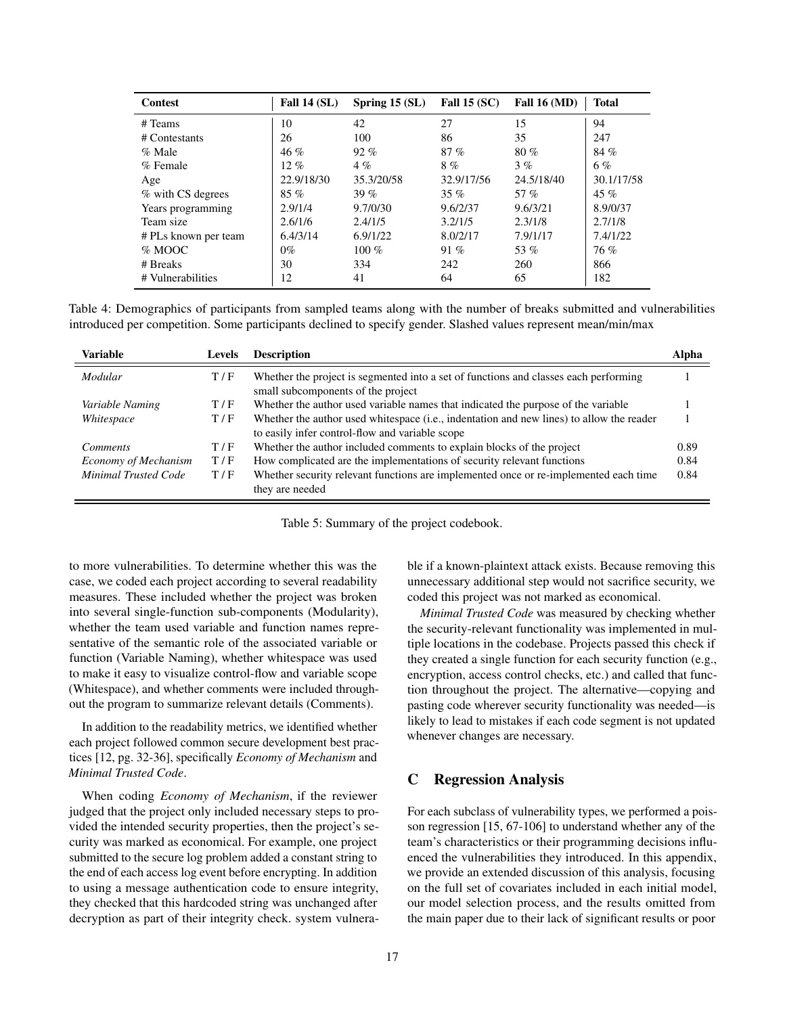<span id="page-16-1"></span>

| <b>Contest</b>       | Fall $14(SL)$ | Spring $15(SL)$ | Fall $15(SC)$ | Fall $16 \, (\text{MD})$ | <b>Total</b> |
|----------------------|---------------|-----------------|---------------|--------------------------|--------------|
| # Teams              | 10            | 42              | 27            | 15                       | 94           |
| # Contestants        | 26            | 100             | 86            | 35                       | 247          |
| $\%$ Male            | $46 \%$       | $92\%$          | $87\%$        | 80%                      | 84 %         |
| % Female             | $12\%$        | $4\%$           | 8%            | 3%                       | 6%           |
| Age                  | 22.9/18/30    | 35.3/20/58      | 32.9/17/56    | 24.5/18/40               | 30.1/17/58   |
| % with CS degrees    | $85\%$        | 39 $%$          | 35%           | 57 $%$                   | 45 $%$       |
| Years programming    | 2.9/1/4       | 9.7/0/30        | 9.6/2/37      | 9.6/3/21                 | 8.9/0/37     |
| Team size            | 2.6/1/6       | 2.4/1/5         | 3.2/1/5       | 2.3/1/8                  | 2.7/1/8      |
| # PLs known per team | 6.4/3/14      | 6.9/1/22        | 8.0/2/17      | 7.9/1/17                 | 7.4/1/22     |
| % MOOC               | $0\%$         | 100 $%$         | 91%           | 53%                      | 76%          |
| # Breaks             | 30            | 334             | 242           | 260                      | 866          |
| # Vulnerabilities    | 12            | 41              | 64            | 65                       | 182          |

Table 4: Demographics of participants from sampled teams along with the number of breaks submitted and vulnerabilities introduced per competition. Some participants declined to specify gender. Slashed values represent mean/min/max

<span id="page-16-2"></span>

| <b>Variable</b>             | <b>Levels</b> | <b>Description</b>                                                                                                                          | Alpha |
|-----------------------------|---------------|---------------------------------------------------------------------------------------------------------------------------------------------|-------|
| Modular                     | T/F           | Whether the project is segmented into a set of functions and classes each performing<br>small subcomponents of the project                  |       |
| Variable Naming             | T/F           | Whether the author used variable names that indicated the purpose of the variable                                                           |       |
| Whitespace                  | T/F           | Whether the author used whitespace (i.e., indentation and new lines) to allow the reader<br>to easily infer control-flow and variable scope |       |
| <i>Comments</i>             | T/F           | Whether the author included comments to explain blocks of the project                                                                       | 0.89  |
| Economy of Mechanism        | T/F           | How complicated are the implementations of security relevant functions                                                                      | 0.84  |
| <b>Minimal Trusted Code</b> | T/F           | Whether security relevant functions are implemented once or re-implemented each time<br>they are needed                                     | 0.84  |

Table 5: Summary of the project codebook.

to more vulnerabilities. To determine whether this was the case, we coded each project according to several readability measures. These included whether the project was broken into several single-function sub-components (Modularity), whether the team used variable and function names representative of the semantic role of the associated variable or function (Variable Naming), whether whitespace was used to make it easy to visualize control-flow and variable scope (Whitespace), and whether comments were included throughout the program to summarize relevant details (Comments).

In addition to the readability metrics, we identified whether each project followed common secure development best practices [\[12,](#page-13-18) pg. 32-36], specifically *Economy of Mechanism* and *Minimal Trusted Code*.

When coding *Economy of Mechanism*, if the reviewer judged that the project only included necessary steps to provided the intended security properties, then the project's security was marked as economical. For example, one project submitted to the secure log problem added a constant string to the end of each access log event before encrypting. In addition to using a message authentication code to ensure integrity, they checked that this hardcoded string was unchanged after decryption as part of their integrity check. system vulnerable if a known-plaintext attack exists. Because removing this unnecessary additional step would not sacrifice security, we coded this project was not marked as economical.

*Minimal Trusted Code* was measured by checking whether the security-relevant functionality was implemented in multiple locations in the codebase. Projects passed this check if they created a single function for each security function (e.g., encryption, access control checks, etc.) and called that function throughout the project. The alternative—copying and pasting code wherever security functionality was needed—is likely to lead to mistakes if each code segment is not updated whenever changes are necessary.

### <span id="page-16-0"></span>C Regression Analysis

For each subclass of vulnerability types, we performed a poisson regression [\[15,](#page-13-23) 67-106] to understand whether any of the team's characteristics or their programming decisions influenced the vulnerabilities they introduced. In this appendix, we provide an extended discussion of this analysis, focusing on the full set of covariates included in each initial model, our model selection process, and the results omitted from the main paper due to their lack of significant results or poor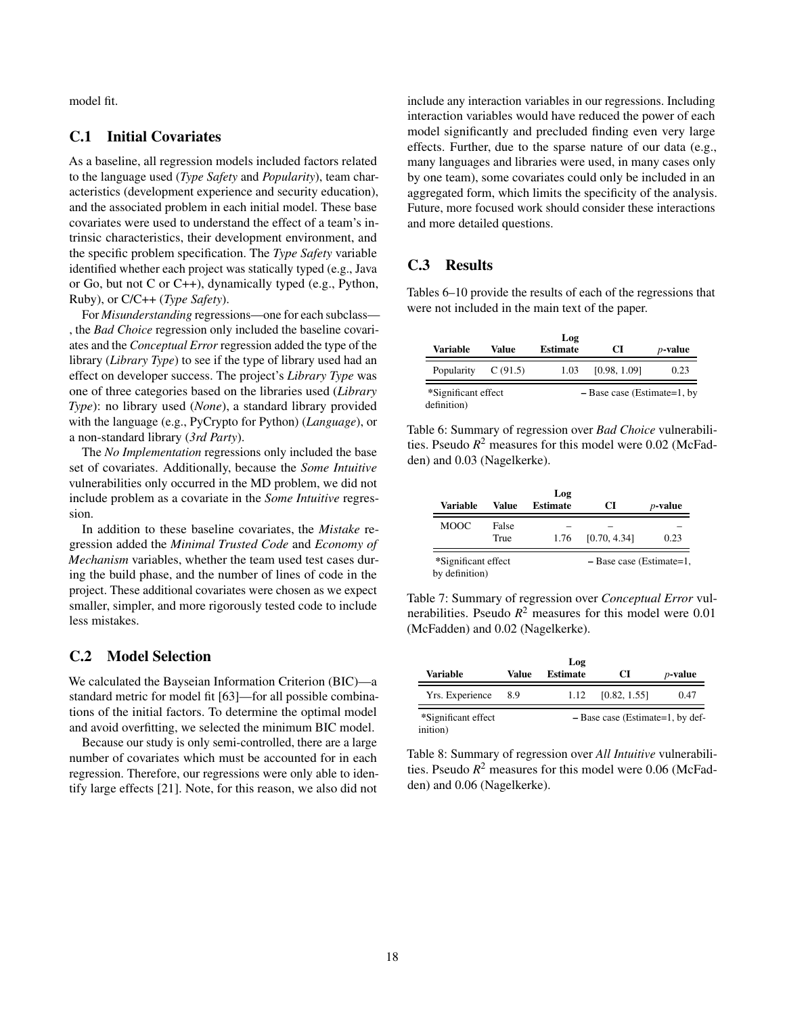model fit.

# C.1 Initial Covariates

As a baseline, all regression models included factors related to the language used (*Type Safety* and *Popularity*), team characteristics (development experience and security education), and the associated problem in each initial model. These base covariates were used to understand the effect of a team's intrinsic characteristics, their development environment, and the specific problem specification. The *Type Safety* variable identified whether each project was statically typed (e.g., Java or Go, but not C or C++), dynamically typed (e.g., Python, Ruby), or C/C++ (*Type Safety*).

For *Misunderstanding* regressions—one for each subclass— , the *Bad Choice* regression only included the baseline covariates and the *Conceptual Error* regression added the type of the library (*Library Type*) to see if the type of library used had an effect on developer success. The project's *Library Type* was one of three categories based on the libraries used (*Library Type*): no library used (*None*), a standard library provided with the language (e.g., PyCrypto for Python) (*Language*), or a non-standard library (*3rd Party*).

The *No Implementation* regressions only included the base set of covariates. Additionally, because the *Some Intuitive* vulnerabilities only occurred in the MD problem, we did not include problem as a covariate in the *Some Intuitive* regression.

In addition to these baseline covariates, the *Mistake* regression added the *Minimal Trusted Code* and *Economy of Mechanism* variables, whether the team used test cases during the build phase, and the number of lines of code in the project. These additional covariates were chosen as we expect smaller, simpler, and more rigorously tested code to include less mistakes.

### C.2 Model Selection

We calculated the Bayseian Information Criterion (BIC)—a standard metric for model fit [\[63\]](#page-15-16)—for all possible combinations of the initial factors. To determine the optimal model and avoid overfitting, we selected the minimum BIC model.

Because our study is only semi-controlled, there are a large number of covariates which must be accounted for in each regression. Therefore, our regressions were only able to identify large effects [\[21\]](#page-13-19). Note, for this reason, we also did not

include any interaction variables in our regressions. Including interaction variables would have reduced the power of each model significantly and precluded finding even very large effects. Further, due to the sparse nature of our data (e.g., many languages and libraries were used, in many cases only by one team), some covariates could only be included in an aggregated form, which limits the specificity of the analysis. Future, more focused work should consider these interactions and more detailed questions.

### C.3 Results

Tables [6](#page-17-0)[–10](#page-18-0) provide the results of each of the regressions that were not included in the main text of the paper.

<span id="page-17-0"></span>

| Variable                           | Value      | Log<br><b>Estimate</b> | CІ                            | <i>p</i> -value |
|------------------------------------|------------|------------------------|-------------------------------|-----------------|
| Popularity                         | C $(91.5)$ | 1.03                   | [0.98, 1.09]                  | 0.23            |
| *Significant effect<br>definition) |            |                        | $-$ Base case (Estimate=1, by |                 |

Table 6: Summary of regression over *Bad Choice* vulnerabilities. Pseudo  $R^2$  measures for this model were 0.02 (McFadden) and 0.03 (Nagelkerke).

| Variable                              | Value         | Log<br><b>Estimate</b> | CI                         | <i>p</i> -value |
|---------------------------------------|---------------|------------------------|----------------------------|-----------------|
| <b>MOOC</b>                           | False<br>True | 1.76                   | [0.70, 4.34]               | 0.23            |
| *Significant effect<br>by definition) |               |                        | $-$ Base case (Estimate=1, |                 |

Table 7: Summary of regression over *Conceptual Error* vulnerabilities. Pseudo  $R^2$  measures for this model were 0.01 (McFadden) and 0.02 (Nagelkerke).

|                                 |       | Log             |                                    |            |
|---------------------------------|-------|-----------------|------------------------------------|------------|
| Variable                        | Value | <b>Estimate</b> | CI                                 | $p$ -value |
| Yrs. Experience                 | 8.9   | 1.12            | [0.82, 1.55]                       | 0.47       |
| *Significant effect<br>inition) |       |                 | $-$ Base case (Estimate=1, by def- |            |

Table 8: Summary of regression over *All Intuitive* vulnerabilities. Pseudo *R* <sup>2</sup> measures for this model were 0.06 (McFadden) and 0.06 (Nagelkerke).